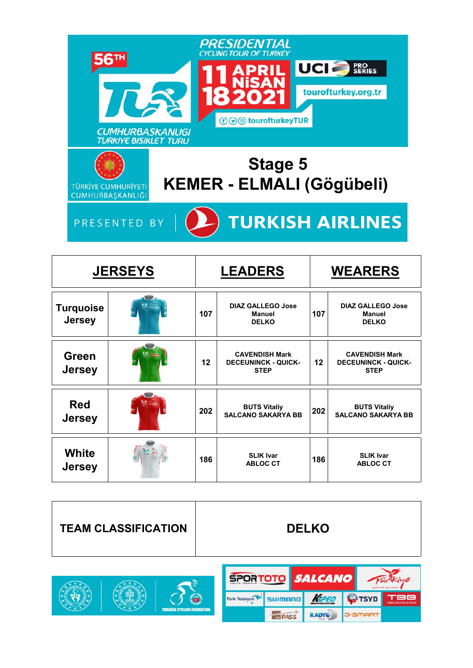

|                                   | <b>JERSEYS</b> |     | <b>LEADERS</b>                                                     | <b>WEARERS</b> |                                                                    |  |
|-----------------------------------|----------------|-----|--------------------------------------------------------------------|----------------|--------------------------------------------------------------------|--|
| <b>Turquoise</b><br><b>Jersey</b> |                | 107 | <b>DIAZ GALLEGO Jose</b><br><b>Manuel</b><br><b>DELKO</b>          | 107            | <b>DIAZ GALLEGO Jose</b><br><b>Manuel</b><br><b>DELKO</b>          |  |
| Green<br><b>Jersey</b>            |                | 12  | <b>CAVENDISH Mark</b><br><b>DECEUNINCK - QUICK-</b><br><b>STEP</b> | 12             | <b>CAVENDISH Mark</b><br><b>DECEUNINCK - QUICK-</b><br><b>STEP</b> |  |
| <b>Red</b><br><b>Jersey</b>       |                | 202 | <b>BUTS Vitaliy</b><br><b>SALCANO SAKARYA BB</b>                   | 202            | <b>BUTS Vitaliy</b><br><b>SALCANO SAKARYA BB</b>                   |  |
| White<br><b>Jersey</b>            |                | 186 | <b>SLIK Ivar</b><br><b>ABLOC CT</b>                                | 186            | <b>SLIK Ivar</b><br><b>ABLOC CT</b>                                |  |



RADYO

**IDA PASS** 

**D**-SMART

**TURKISH CYCLING FEBER**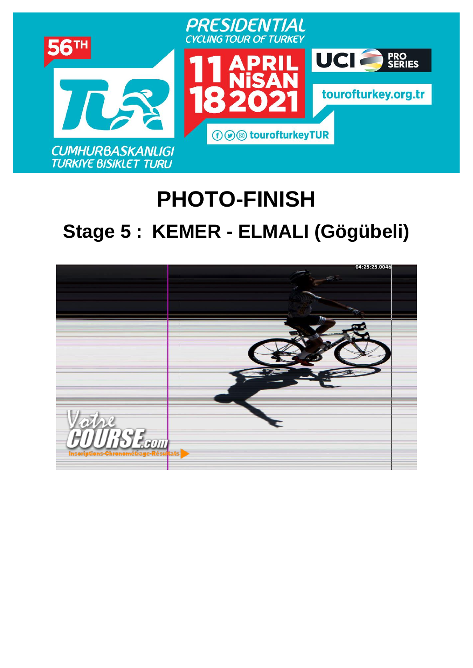

# **PHOTO-FINISH [Stage](https://www.procyclingstats.com/race/tour-of-turkey/2021/stage-1) 5 : KEMER - ELMALI (Gögübeli)**

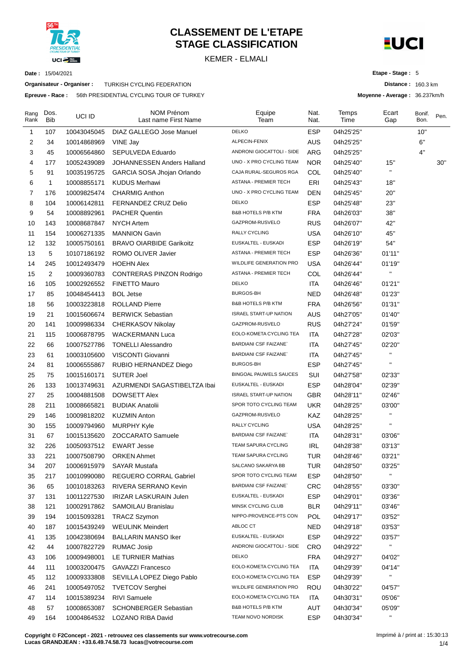

# **CLASSEMENT DE L'ETAPE STAGE CLASSIFICATION**

KEMER - ELMALI



**Distance :** 160.3 km **Moyenne - Average :** 36.237km/h

**Etape - Stage :** 5

**Date :** 15/04/2021

**Organisateur - Organiser :** TURKISH CYCLING FEDERATION

**Epreuve - Race :** 56th PRESIDENTIAL CYCLING TOUR OF TURKEY

| Rang<br>Rank | Dos.<br><b>Bib</b> | UCI ID      | NOM Prénom<br>Last name First Name | Equipe<br>Team                | Nat.<br>Nat. | Temps<br>Time | Ecart<br>Gap            | Bonif.<br>Bon. | Pen. |
|--------------|--------------------|-------------|------------------------------------|-------------------------------|--------------|---------------|-------------------------|----------------|------|
| 1            | 107                | 10043045045 | DIAZ GALLEGO Jose Manuel           | <b>DELKO</b>                  | <b>ESP</b>   | 04h25'25"     |                         | 10"            |      |
| 2            | 34                 | 10014868969 | VINE Jay                           | ALPECIN-FENIX                 | <b>AUS</b>   | 04h25'25"     |                         | 6"             |      |
| 3            | 45                 | 10006564860 | SEPULVEDA Eduardo                  | ANDRONI GIOCATTOLI - SIDE     | ARG          | 04h25'25"     |                         | 4"             |      |
| 4            | 177                | 10052439089 | <b>JOHANNESSEN Anders Halland</b>  | UNO - X PRO CYCLING TEAM      | NOR.         | 04h25'40"     | 15"                     |                | 30"  |
| 5            | 91                 | 10035195725 | GARCIA SOSA Jhojan Orlando         | CAJA RURAL-SEGUROS RGA        | COL          | 04h25'40"     | $\blacksquare$          |                |      |
| 6            | $\mathbf{1}$       | 10008855171 | <b>KUDUS Merhawi</b>               | ASTANA - PREMIER TECH         | ERI          | 04h25'43"     | 18"                     |                |      |
| 7            | 176                | 10009825474 | <b>CHARMIG Anthon</b>              | UNO - X PRO CYCLING TEAM      | DEN          | 04h25'45"     | 20"                     |                |      |
| 8            | 104                | 10006142811 | <b>FERNANDEZ CRUZ Delio</b>        | <b>DELKO</b>                  | <b>ESP</b>   | 04h25'48"     | 23"                     |                |      |
| 9            | 54                 | 10008892961 | <b>PACHER Quentin</b>              | <b>B&amp;B HOTELS P/B KTM</b> | <b>FRA</b>   | 04h26'03"     | 38"                     |                |      |
| 10           | 143                | 10008687847 | <b>NYCH Artem</b>                  | GAZPROM-RUSVELO               | <b>RUS</b>   | 04h26'07"     | 42"                     |                |      |
| 11           | 154                | 10006271335 | <b>MANNION Gavin</b>               | RALLY CYCLING                 | <b>USA</b>   | 04h26'10"     | 45"                     |                |      |
| 12           | 132                | 10005750161 | <b>BRAVO OIARBIDE Garikoitz</b>    | EUSKALTEL - EUSKADI           | <b>ESP</b>   | 04h26'19"     | 54"                     |                |      |
| 13           | 5                  | 10107186192 | ROMO OLIVER Javier                 | ASTANA - PREMIER TECH         | <b>ESP</b>   | 04h26'36"     | 01'11"                  |                |      |
| 14           | 245                | 10012493479 | <b>HOEHN Alex</b>                  | WILDLIFE GENERATION PRO       | <b>USA</b>   | 04h26'44"     | 01'19"                  |                |      |
| 15           | 2                  | 10009360783 | <b>CONTRERAS PINZON Rodrigo</b>    | ASTANA - PREMIER TECH         | COL          | 04h26'44"     | $\mathbf{H}$            |                |      |
| 16           | 105                | 10002926552 | <b>FINETTO Mauro</b>               | <b>DELKO</b>                  | <b>ITA</b>   | 04h26'46"     | 01'21"                  |                |      |
| 17           | 85                 | 10048454413 | <b>BOL Jetse</b>                   | <b>BURGOS-BH</b>              | <b>NED</b>   | 04h26'48"     | 01'23"                  |                |      |
| 18           | 56                 | 10003223818 | <b>ROLLAND Pierre</b>              | <b>B&amp;B HOTELS P/B KTM</b> | <b>FRA</b>   | 04h26'56"     | 01'31"                  |                |      |
| 19           | 21                 | 10015606674 | <b>BERWICK Sebastian</b>           | <b>ISRAEL START-UP NATION</b> | <b>AUS</b>   | 04h27'05"     | 01'40"                  |                |      |
| 20           | 141                | 10009986334 | CHERKASOV Nikolay                  | GAZPROM-RUSVELO               | <b>RUS</b>   | 04h27'24"     | 01'59"                  |                |      |
| 21           | 115                | 10006878795 | <b>WACKERMANN Luca</b>             | EOLO-KOMETA CYCLING TEA       | <b>ITA</b>   | 04h27'28"     | 02'03"                  |                |      |
| 22           | 66                 | 10007527786 | <b>TONELLI Alessandro</b>          | <b>BARDIANI CSF FAIZANE</b>   | <b>ITA</b>   | 04h27'45"     | 02'20"                  |                |      |
| 23           | 61                 | 10003105600 | VISCONTI Giovanni                  | <b>BARDIANI CSF FAIZANE</b>   | ITA          | 04h27'45"     | $\mathbf{H}$            |                |      |
| 24           | 81                 | 10006555867 | RUBIO HERNANDEZ Diego              | BURGOS-BH                     | <b>ESP</b>   | 04h27'45"     | $\mathbf{u}$            |                |      |
| 25           | 75                 | 10015160171 | <b>SUTER Joel</b>                  | <b>BINGOAL PAUWELS SAUCES</b> | SUI          | 04h27'58"     | 02'33"                  |                |      |
| 26           | 133                | 10013749631 | AZURMENDI SAGASTIBELTZA Ibai       | EUSKALTEL - EUSKADI           | <b>ESP</b>   | 04h28'04"     | 02'39"                  |                |      |
| 27           | 25                 | 10004881508 | <b>DOWSETT Alex</b>                | <b>ISRAEL START-UP NATION</b> | <b>GBR</b>   | 04h28'11"     | 02'46"                  |                |      |
| 28           | 211                | 10008665821 | <b>BUDIAK Anatolii</b>             | SPOR TOTO CYCLING TEAM        | <b>UKR</b>   | 04h28'25"     | 03'00"                  |                |      |
| 29           | 146                | 10009818202 | <b>KUZMIN Anton</b>                | GAZPROM-RUSVELO               | KAZ          | 04h28'25"     | $\blacksquare$          |                |      |
| 30           | 155                | 10009794960 | <b>MURPHY Kyle</b>                 | RALLY CYCLING                 | <b>USA</b>   | 04h28'25"     |                         |                |      |
| 31           | 67                 | 10015135620 | ZOCCARATO Samuele                  | <b>BARDIANI CSF FAIZANE</b>   | <b>ITA</b>   | 04h28'31"     | 03'06"                  |                |      |
| 32           | 226                | 10050937512 | <b>EWART Jesse</b>                 | TEAM SAPURA CYCLING           | <b>IRL</b>   | 04h28'38"     | 03'13"                  |                |      |
| 33           | 221                | 10007508790 | <b>ORKEN Ahmet</b>                 | TEAM SAPURA CYCLING           | <b>TUR</b>   | 04h28'46"     | 03'21"                  |                |      |
| 34           | 207                | 10006915979 | <b>SAYAR Mustafa</b>               | SALCANO SAKARYA BB            | TUR          | 04h28'50"     | 03'25"                  |                |      |
| 35           | 217                | 10010990080 | REGUERO CORRAL Gabriel             | SPOR TOTO CYCLING TEAM        | <b>ESP</b>   | 04h28'50"     | Ħ                       |                |      |
| 36           | 65                 | 10010183263 | RIVERA SERRANO Kevin               | <b>BARDIANI CSF FAIZANE</b>   | <b>CRC</b>   | 04h28'55"     | 03'30"                  |                |      |
| 37           | 131                | 10011227530 | IRIZAR LASKURAIN Julen             | EUSKALTEL - EUSKADI           | <b>ESP</b>   | 04h29'01"     | 03'36"                  |                |      |
| 38           | 121                | 10002917862 | SAMOILAU Branislau                 | MINSK CYCLING CLUB            | <b>BLR</b>   | 04h29'11"     | 03'46"                  |                |      |
| 39           | 194                | 10015093281 | <b>TRACZ Szymon</b>                | NIPPO-PROVENCE-PTS CON        | <b>POL</b>   | 04h29'17"     | 03'52"                  |                |      |
| 40           | 187                | 10015439249 | <b>WEULINK Meindert</b>            | ABLOC CT                      | <b>NED</b>   | 04h29'18"     | 03'53"                  |                |      |
| 41           | 135                | 10042380694 | <b>BALLARIN MANSO Iker</b>         | EUSKALTEL - EUSKADI           | <b>ESP</b>   | 04h29'22"     | 03'57"                  |                |      |
| 42           | 44                 | 10007822729 | RUMAC Josip                        | ANDRONI GIOCATTOLI - SIDE     | <b>CRO</b>   | 04h29'22"     | $\mathbf{H}_\mathrm{c}$ |                |      |
| 43           | 106                | 10009498001 | LE TURNIER Mathias                 | <b>DELKO</b>                  | <b>FRA</b>   | 04h29'27"     | 04'02"                  |                |      |
| 44           | 111                | 10003200475 | GAVAZZI Francesco                  | EOLO-KOMETA CYCLING TEA       | <b>ITA</b>   | 04h29'39"     | 04'14"                  |                |      |
| 45           | 112                | 10009333808 | SEVILLA LOPEZ Diego Pablo          | EOLO-KOMETA CYCLING TEA       | <b>ESP</b>   | 04h29'39"     | $\mathbf{H}$            |                |      |
| 46           | 241                | 10005497052 | <b>TVETCOV Serghei</b>             | WILDLIFE GENERATION PRO       | <b>ROU</b>   | 04h30'22"     | 04'57"                  |                |      |
| 47           | 114                | 10015389234 | <b>RIVI Samuele</b>                | EOLO-KOMETA CYCLING TEA       | ITA          | 04h30'31"     | 05'06"                  |                |      |
| 48           | 57                 | 10008653087 | <b>SCHONBERGER Sebastian</b>       | B&B HOTELS P/B KTM            | <b>AUT</b>   | 04h30'34"     | 05'09"                  |                |      |
| 49           | 164                | 10004864532 | LOZANO RIBA David                  | TEAM NOVO NORDISK             | <b>ESP</b>   | 04h30'34"     | $\mathbf{H}$            |                |      |
|              |                    |             |                                    |                               |              |               |                         |                |      |

**Copyright © F2Concept - 2021 - retrouvez ces classements sur www.votrecourse.com Lucas GRANDJEAN : +33.6.49.74.58.73 lucas@votrecourse.com**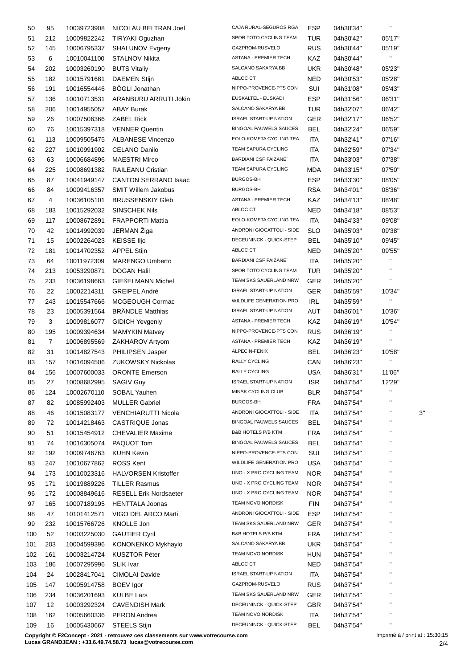| 50  | 95             | 10039723908           | NICOLAU BELTRAN Joel          | CAJA RURAL-SEGUROS RGA        | <b>ESP</b> | 04h30'34" | н.             |    |
|-----|----------------|-----------------------|-------------------------------|-------------------------------|------------|-----------|----------------|----|
| 51  | 212            | 10009822242           | <b>TIRYAKI Oguzhan</b>        | SPOR TOTO CYCLING TEAM        | TUR        | 04h30'42" | 05'17"         |    |
| 52  | 145            | 10006795337           | SHALUNOV Evgeny               | GAZPROM-RUSVELO               | <b>RUS</b> | 04h30'44" | 05'19"         |    |
| 53  | 6              | 10010041100           | STALNOV Nikita                | <b>ASTANA - PREMIER TECH</b>  | KAZ        | 04h30'44" | $\mathbf{H}$   |    |
| 54  | 202            | 10003260190           | <b>BUTS Vitaliy</b>           | SALCANO SAKARYA BB            | <b>UKR</b> | 04h30'48" | 05'23"         |    |
| 55  | 182            | 10015791681           | <b>DAEMEN Stijn</b>           | ABLOC CT                      | NED        | 04h30'53" | 05'28"         |    |
| 56  | 191            | 10016554446           | <b>BÖGLI Jonathan</b>         | NIPPO-PROVENCE-PTS CON        | SUI        | 04h31'08" | 05'43"         |    |
| 57  | 136            | 10010713531           | ARANBURU ARRUTI Jokin         | EUSKALTEL - EUSKADI           | <b>ESP</b> | 04h31'56" | 06'31"         |    |
| 58  | 206            | 10014955057           | <b>ABAY Burak</b>             | SALCANO SAKARYA BB            | <b>TUR</b> | 04h32'07" | 06'42"         |    |
| 59  | 26             | 10007506366           | <b>ZABEL Rick</b>             | <b>ISRAEL START-UP NATION</b> | <b>GER</b> | 04h32'17" | 06'52"         |    |
| 60  | 76             | 10015397318           | <b>VENNER Quentin</b>         | <b>BINGOAL PAUWELS SAUCES</b> | BEL        | 04h32'24" | 06'59"         |    |
| 61  | 113            | 10009505475           | <b>ALBANESE Vincenzo</b>      | EOLO-KOMETA CYCLING TEA       | ITA        | 04h32'41" | 07'16"         |    |
| 62  | 227            | 10010991902           | <b>CELANO Danilo</b>          | TEAM SAPURA CYCLING           | ITA        | 04h32'59" | 07'34"         |    |
| 63  | 63             | 10006684896           | <b>MAESTRI Mirco</b>          | <b>BARDIANI CSF FAIZANE`</b>  | ITA        | 04h33'03" | 07'38"         |    |
| 64  | 225            | 10008691382           | RAILEANU Cristian             | TEAM SAPURA CYCLING           | MDA        | 04h33'15" | 07'50"         |    |
| 65  | 87             | 10041949147           | <b>CANTON SERRANO Isaac</b>   | <b>BURGOS-BH</b>              | <b>ESP</b> | 04h33'30" | 08'05"         |    |
| 66  | 84             | 10009416357           | <b>SMIT Willem Jakobus</b>    | <b>BURGOS-BH</b>              | <b>RSA</b> | 04h34'01" | 08'36"         |    |
| 67  | 4              | 10036105101           | <b>BRUSSENSKIY Gleb</b>       | <b>ASTANA - PREMIER TECH</b>  | KAZ        | 04h34'13" | 08'48"         |    |
|     |                |                       | <b>SINSCHEK Nils</b>          | ABLOC CT                      |            |           |                |    |
| 68  | 183            | 10015292032           |                               | EOLO-KOMETA CYCLING TEA       | NED        | 04h34'18" | 08'53"         |    |
| 69  | 117            | 10008672891           | <b>FRAPPORTI Mattia</b>       |                               | ITA        | 04h34'33" | 09'08"         |    |
| 70  | 42             | 10014992039           | JERMAN Žiga                   | ANDRONI GIOCATTOLI - SIDE     | SLO        | 04h35'03" | 09'38"         |    |
| 71  | 15             | 10002264023           | <b>KEISSE IIjo</b>            | DECEUNINCK - QUICK-STEP       | BEL        | 04h35'10" | 09'45"         |    |
| 72  | 181            | 10014702352           | <b>APPEL Stijn</b>            | ABLOC CT                      | NED        | 04h35'20" | 09'55"         |    |
| 73  | 64             | 10011972309           | <b>MARENGO Umberto</b>        | <b>BARDIANI CSF FAIZANE</b>   | ITA        | 04h35'20" | $\mathbf{H}$   |    |
| 74  | 213            | 10053290871           | <b>DOGAN Halil</b>            | SPOR TOTO CYCLING TEAM        | TUR        | 04h35'20" | $\mathbf{H}$   |    |
| 75  | 233            | 10036198663           | <b>GIEßELMANN Michel</b>      | TEAM SKS SAUERLAND NRW        | GER.       | 04h35'20" | $\blacksquare$ |    |
| 76  | 22             | 10002214311           | <b>GREIPEL André</b>          | <b>ISRAEL START-UP NATION</b> | GER        | 04h35'59" | 10'34"         |    |
| 77  | 243            | 10015547666           | MCGEOUGH Cormac               | WILDLIFE GENERATION PRO       | IRL        | 04h35'59" | $\mathbf{H}$   |    |
| 78  | 23             | 10005391564           | <b>BRÄNDLE Matthias</b>       | <b>ISRAEL START-UP NATION</b> | AUT        | 04h36'01" | 10'36"         |    |
| 79  | 3              | 10009816077           | <b>GIDICH Yevgeniy</b>        | ASTANA - PREMIER TECH         | KAZ        | 04h36'19" | 10'54"         |    |
| 80  | 195            | 10009394634           | <b>MAMYKIN Matvey</b>         | NIPPO-PROVENCE-PTS CON        | <b>RUS</b> | 04h36'19" | $\mathbf{H}$   |    |
| 81  | $\overline{7}$ | 10006895569           | ZAKHAROV Artyom               | <b>ASTANA - PREMIER TECH</b>  | KAZ        | 04h36'19" | $\mathbf{H}$   |    |
| 82  | 31             | 10014827543           | PHILIPSEN Jasper              | ALPECIN-FENIX                 | <b>BEL</b> | 04h36'23" | 10'58"         |    |
| 83  | 157            | 10016094506           | <b>ZUKOWSKY Nickolas</b>      | RALLY CYCLING                 | CAN        | 04h36'23" | П              |    |
| 84  | 156            | 10007600033           | <b>ORONTE Emerson</b>         | RALLY CYCLING                 | USA        | 04h36'31" | 11'06"         |    |
| 85  | 27             | 10008682995 SAGIV Guy |                               | <b>ISRAEL START-UP NATION</b> | <b>ISR</b> | 04h37'54" | 12'29"         |    |
| 86  | 124            | 10002670110           | SOBAL Yauhen                  | MINSK CYCLING CLUB            | <b>BLR</b> | 04h37'54" | н              |    |
| 87  | 82             | 10085992403           | <b>MULLER Gabriel</b>         | <b>BURGOS-BH</b>              | <b>FRA</b> | 04h37'54" | н              |    |
| 88  | 46             | 10015083177           | VENCHIARUTTI Nicola           | ANDRONI GIOCATTOLI - SIDE     | ITA        | 04h37'54" | Н              | 3' |
| 89  | 72             | 10014218463           | CASTRIQUE Jonas               | BINGOAL PAUWELS SAUCES        | <b>BEL</b> | 04h37'54" | п              |    |
| 90  | 51             | 10015454912           | <b>CHEVALIER Maxime</b>       | B&B HOTELS P/B KTM            | <b>FRA</b> | 04h37'54" | Н              |    |
| 91  | 74             | 10016305074           | PAQUOT Tom                    | <b>BINGOAL PAUWELS SAUCES</b> | <b>BEL</b> | 04h37'54" |                |    |
| 92  | 192            | 10009746763           | <b>KUHN Kevin</b>             | NIPPO-PROVENCE-PTS CON        | SUI        | 04h37'54" | н              |    |
| 93  | 247            | 10010677862           | <b>ROSS Kent</b>              | WILDLIFE GENERATION PRO       | <b>USA</b> | 04h37'54" |                |    |
| 94  | 173            | 10010023316           | <b>HALVORSEN Kristoffer</b>   | UNO - X PRO CYCLING TEAM      | <b>NOR</b> | 04h37'54" | н              |    |
| 95  | 171            | 10019889226           | <b>TILLER Rasmus</b>          | UNO - X PRO CYCLING TEAM      | <b>NOR</b> | 04h37'54" |                |    |
| 96  | 172            | 10008849616           | <b>RESELL Erik Nordsaeter</b> | UNO - X PRO CYCLING TEAM      | <b>NOR</b> | 04h37'54" |                |    |
| 97  | 165            | 10007189195           | <b>HENTTALA Joonas</b>        | TEAM NOVO NORDISK             | <b>FIN</b> | 04h37'54" |                |    |
| 98  | 47             | 10101412571           | VIGO DEL ARCO Marti           | ANDRONI GIOCATTOLI - SIDE     | <b>ESP</b> | 04h37'54" |                |    |
| 99  | 232            | 10015766726           | KNOLLE Jon                    | TEAM SKS SAUERLAND NRW        | GER        | 04h37'54" |                |    |
| 100 | 52             | 10003225030           | <b>GAUTIER Cyril</b>          | B&B HOTELS P/B KTM            | <b>FRA</b> | 04h37'54" |                |    |
| 101 | 203            | 10004599396           | KONONENKO Mykhaylo            | SALCANO SAKARYA BB            | <b>UKR</b> | 04h37'54" |                |    |
| 102 | 161            | 10003214724           | <b>KUSZTOR Péter</b>          | TEAM NOVO NORDISK             | <b>HUN</b> | 04h37'54" | н              |    |
| 103 | 186            | 10007295996           | SLIK Ivar                     | ABLOC CT                      | <b>NED</b> | 04h37'54" |                |    |
| 104 | 24             | 10028417041           | <b>CIMOLAI Davide</b>         | <b>ISRAEL START-UP NATION</b> | ITA        | 04h37'54" | н              |    |
| 105 | 147            | 10005914758           | <b>BOEV</b> Igor              | GAZPROM-RUSVELO               | <b>RUS</b> | 04h37'54" |                |    |
| 106 | 234            | 10036201693           | <b>KULBE Lars</b>             | TEAM SKS SAUERLAND NRW        | <b>GER</b> | 04h37'54" |                |    |
| 107 | 12             | 10003292324           | <b>CAVENDISH Mark</b>         | DECEUNINCK - QUICK-STEP       | <b>GBR</b> | 04h37'54" |                |    |
| 108 | 162            | 10005660336           | <b>PERON Andrea</b>           | TEAM NOVO NORDISK             | ITA        | 04h37'54" | н              |    |
| 109 | 16             |                       | 10005430667 STEELS Stijn      | DECEUNINCK - QUICK-STEP       | <b>BEL</b> | 04h37'54" | Н              |    |
|     |                |                       |                               |                               |            |           |                |    |

**Copyright © F2Concept - 2021 - retrouvez ces classements sur www.votrecourse.com**

**Lucas GRANDJEAN : +33.6.49.74.58.73 lucas@votrecourse.com**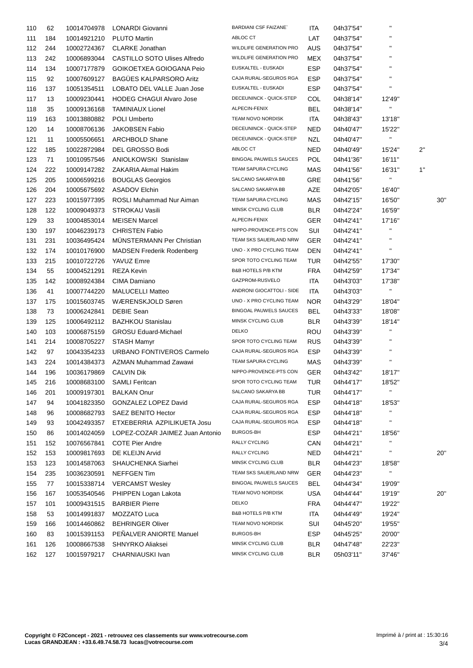| 110        | 62  | 10014704978 | <b>LONARDI Giovanni</b>             | <b>BARDIANI CSF FAIZANE</b>    | <b>ITA</b> | 04h37'54" | $\blacksquare$           |     |
|------------|-----|-------------|-------------------------------------|--------------------------------|------------|-----------|--------------------------|-----|
| 111        | 184 | 10014921210 | <b>PLUTO Martin</b>                 | ABLOC CT                       | LAT        | 04h37'54" | $\pmb{\mathsf{H}}$       |     |
| 112        | 244 | 10002724367 | <b>CLARKE Jonathan</b>              | WILDLIFE GENERATION PRO        | AUS        | 04h37'54" | $\mathbf{H}$             |     |
| 113        | 242 | 10006893044 | <b>CASTILLO SOTO Ulises Alfredo</b> | <b>WILDLIFE GENERATION PRO</b> | <b>MEX</b> | 04h37'54" | $\mathbf{H}$             |     |
| 114        | 134 | 10007177879 | GOIKOETXEA GOIOGANA Peio            | EUSKALTEL - EUSKADI            | <b>ESP</b> | 04h37'54" | $\mathbf{H}$             |     |
| 115        | 92  | 10007609127 | <b>BAGÜES KALPARSORO Aritz</b>      | CAJA RURAL-SEGUROS RGA         | <b>ESP</b> | 04h37'54" | $\pmb{\mathsf{H}}$       |     |
| 116        | 137 | 10051354511 | LOBATO DEL VALLE Juan Jose          | EUSKALTEL - EUSKADI            | <b>ESP</b> | 04h37'54" | $\mathbf{H}$             |     |
| 117        | 13  | 10009230441 | <b>HODEG CHAGUI Alvaro Jose</b>     | DECEUNINCK - QUICK-STEP        | COL        | 04h38'14" | 12'49"                   |     |
| 118        | 35  | 10009136168 | <b>TAMINIAUX Lionel</b>             | ALPECIN-FENIX                  | <b>BEL</b> | 04h38'14" | $\mathbf{u}$             |     |
| 119        | 163 | 10013880882 | <b>POLI Umberto</b>                 | <b>TEAM NOVO NORDISK</b>       | <b>ITA</b> | 04h38'43" | 13'18"                   |     |
| 120        | 14  | 10008706136 | <b>JAKOBSEN Fabio</b>               | DECEUNINCK - QUICK-STEP        | <b>NED</b> | 04h40'47" | 15'22"                   |     |
| 121        | 11  | 10005506651 | <b>ARCHBOLD Shane</b>               | DECEUNINCK - QUICK-STEP        | <b>NZL</b> | 04h40'47" | $\mathbf{H}$             |     |
| 122        | 185 | 10022872984 | DEL GROSSO Bodi                     | ABLOC CT                       | <b>NED</b> | 04h40'49" | 15'24"                   | 2"  |
| 123        | 71  | 10010957546 | <b>ANIOLKOWSKI Stanislaw</b>        | <b>BINGOAL PAUWELS SAUCES</b>  | <b>POL</b> | 04h41'36" | 16'11"                   |     |
| 124        | 222 | 10009147282 | ZAKARIA Akmal Hakim                 | TEAM SAPURA CYCLING            | MAS        | 04h41'56" | 16'31"                   | 1"  |
| 125        | 205 | 10006599216 | <b>BOUGLAS Georgios</b>             | SALCANO SAKARYA BB             | GRE        | 04h41'56" | $\mathbf{H}$             |     |
| 126        | 204 | 10005675692 | <b>ASADOV Elchin</b>                | SALCANO SAKARYA BB             | AZE        | 04h42'05" | 16'40"                   |     |
| 127        | 223 | 10015977395 | ROSLI Muhammad Nur Aiman            | TEAM SAPURA CYCLING            | MAS        | 04h42'15" | 16'50"                   | 30' |
| 128        | 122 | 10009049373 | <b>STROKAU Vasili</b>               | MINSK CYCLING CLUB             | <b>BLR</b> | 04h42'24" | 16'59"                   |     |
| 129        | 33  | 10004853014 | <b>MEISEN Marcel</b>                | ALPECIN-FENIX                  | GER        | 04h42'41" | 17'16"                   |     |
| 130        | 197 | 10046239173 | <b>CHRISTEN Fabio</b>               | NIPPO-PROVENCE-PTS CON         | SUI        | 04h42'41" | $\mathbf{u}$             |     |
| 131        | 231 | 10036495424 | <b>MUNSTERMANN Per Christian</b>    | TEAM SKS SAUERLAND NRW         | <b>GER</b> | 04h42'41" | $\blacksquare$           |     |
| 132        | 174 | 10010176900 | <b>MADSEN Frederik Rodenberg</b>    | UNO - X PRO CYCLING TEAM       | DEN        | 04h42'41" | $\blacksquare$           |     |
| 133        | 215 | 10010722726 | YAVUZ Emre                          | SPOR TOTO CYCLING TEAM         | TUR        | 04h42'55" | 17'30"                   |     |
| 134        | 55  | 10004521291 | <b>REZA Kevin</b>                   | <b>B&amp;B HOTELS P/B KTM</b>  | <b>FRA</b> | 04h42'59" | 17'34"                   |     |
| 135        | 142 | 10008924384 | CIMA Damiano                        | GAZPROM-RUSVELO                | ITA        | 04h43'03" | 17'38"                   |     |
|            | 41  |             | <b>MALUCELLI Matteo</b>             | ANDRONI GIOCATTOLI - SIDE      | ITA        |           | $\mathbf{u}$             |     |
| 136        | 175 | 10007744220 | WÆRENSKJOLD Søren                   | UNO - X PRO CYCLING TEAM       | <b>NOR</b> | 04h43'03" | 18'04"                   |     |
| 137<br>138 | 73  | 10015603745 | <b>DEBIE Sean</b>                   | <b>BINGOAL PAUWELS SAUCES</b>  | <b>BEL</b> | 04h43'29" | 18'08"                   |     |
|            |     | 10006242841 | <b>BAZHKOU Stanislau</b>            | MINSK CYCLING CLUB             | <b>BLR</b> | 04h43'33" | 18'14"                   |     |
| 139        | 125 | 10006492112 |                                     | <b>DELKO</b>                   |            | 04h43'39" | $\blacksquare$           |     |
| 140        | 103 | 10006875159 | <b>GROSU Eduard-Michael</b>         | SPOR TOTO CYCLING TEAM         | <b>ROU</b> | 04h43'39" | $\pmb{\mathsf{H}}$       |     |
| 141        | 214 | 10008705227 | STASH Mamyr                         | CAJA RURAL-SEGUROS RGA         | <b>RUS</b> | 04h43'39" | $\pmb{\mathsf{H}}$       |     |
| 142        | 97  | 10043354233 | URBANO FONTIVEROS Carmelo           | TEAM SAPURA CYCLING            | <b>ESP</b> | 04h43'39" | $\blacksquare$           |     |
| 143        | 224 | 10014384373 | AZMAN Muhammad Zawawi               |                                | MAS        | 04h43'39" |                          |     |
| 144        | 196 | 10036179869 | <b>CALVIN Dik</b>                   | NIPPO-PROVENCE-PTS CON         | <b>GER</b> | 04h43'42" | 18'17"                   |     |
| 145        | 216 | 10008683100 | SAMLI Feritcan                      | SPOR TOTO CYCLING TEAM         | TUR        | 04h44'17" | 18'52"<br>$\blacksquare$ |     |
| 146        | 201 | 10009197301 | <b>BALKAN Onur</b>                  | SALCANO SAKARYA BB             | <b>TUR</b> | 04h44'17" |                          |     |
| 147        | 94  | 10041823350 | GONZALEZ LOPEZ David                | CAJA RURAL-SEGUROS RGA         | <b>ESP</b> | 04h44'18" | 18'53"                   |     |
| 148        | 96  | 10008682793 | <b>SAEZ BENITO Hector</b>           | CAJA RURAL-SEGUROS RGA         | <b>ESP</b> | 04h44'18" | $\blacksquare$           |     |
| 149        | 93  | 10042493357 | ETXEBERRIA AZPILIKUETA Josu         | CAJA RURAL-SEGUROS RGA         | <b>ESP</b> | 04h44'18" | $\blacksquare$           |     |
| 150        | 86  | 10014024059 | LOPEZ-COZAR JAIMEZ Juan Antonio     | BURGOS-BH                      | <b>ESP</b> | 04h44'21" | 18'56"                   |     |
| 151        | 152 | 10076567841 | <b>COTE Pier Andre</b>              | RALLY CYCLING                  | CAN        | 04h44'21" | $\blacksquare$           |     |
| 152        | 153 | 10009817693 | DE KLEIJN Arvid                     | RALLY CYCLING                  | <b>NED</b> | 04h44'21" | $\mathbf{H}$             | 20' |
| 153        | 123 | 10014587063 | SHAUCHENKA Siarhei                  | MINSK CYCLING CLUB             | <b>BLR</b> | 04h44'23" | 18'58"                   |     |
| 154        | 235 | 10036230591 | <b>NEFFGEN Tim</b>                  | TEAM SKS SAUERLAND NRW         | <b>GER</b> | 04h44'23" | $\mathbf{u}$             |     |
| 155        | 77  | 10015338714 | <b>VERCAMST Wesley</b>              | BINGOAL PAUWELS SAUCES         | <b>BEL</b> | 04h44'34" | 19'09"                   |     |
| 156        | 167 | 10053540546 | PHIPPEN Logan Lakota                | TEAM NOVO NORDISK              | <b>USA</b> | 04h44'44" | 19'19"                   | 20' |
| 157        | 101 | 10009431515 | <b>BARBIER Pierre</b>               | <b>DELKO</b>                   | <b>FRA</b> | 04h44'47" | 19'22"                   |     |
| 158        | 53  | 10014991837 | MOZZATO Luca                        | B&B HOTELS P/B KTM             | ITA        | 04h44'49" | 19'24"                   |     |
| 159        | 166 | 10014460862 | <b>BEHRINGER Oliver</b>             | <b>TEAM NOVO NORDISK</b>       | SUI        | 04h45'20" | 19'55"                   |     |
| 160        | 83  | 10015391153 | PEÑALVER ANIORTE Manuel             | BURGOS-BH                      | <b>ESP</b> | 04h45'25" | 20'00"                   |     |
| 161        | 126 | 10008667538 | SHNYRKO Aliaksei                    | MINSK CYCLING CLUB             | <b>BLR</b> | 04h47'48" | 22'23"                   |     |
| 162        | 127 | 10015979217 | CHARNIAUSKI Ivan                    | MINSK CYCLING CLUB             | <b>BLR</b> | 05h03'11" | 37'46"                   |     |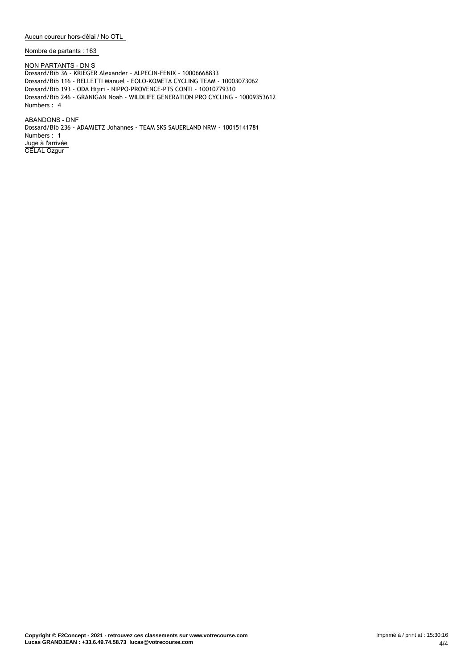**Aucun coureur hors-délai / No OTL**

**Nombre de partants : 163**

**NON PARTANTS - DN** S Dossard/Bib 36 - KRIEGER Alexander - ALPECIN-FENIX - 10006668833 Dossard/Bib 116 - BELLETTI Manuel - EOLO-KOMETA CYCLING TEAM - 10003073062 Dossard/Bib 193 - ODA Hijiri - NIPPO-PROVENCE-PTS CONTI - 10010779310 Dossard/Bib 246 - GRANIGAN Noah - WILDLIFE GENERATION PRO CYCLING - 10009353612 Numbers : 4

**ABANDONS - DNF** Dossard/Bib 236 - ADAMIETZ Johannes - TEAM SKS SAUERLAND NRW - 10015141781 Numbers : 1 **Juge à l'arrivée** CELAL Ozgur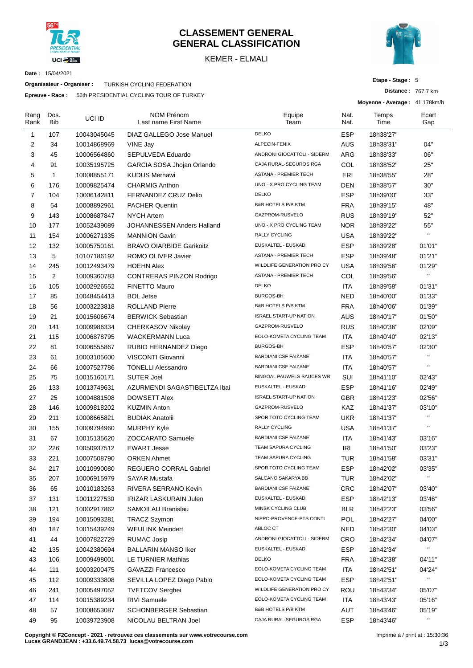

## **CLASSEMENT GENERAL GENERAL CLASSIFICATION**

KEMER - ELMALI



**Etape - Stage :** 5

**Moyenne - Average :** 41.178km/h

**Distance :** 767.7 km

**Date :** 15/04/2021

**Organisateur - Organiser :** TURKISH CYCLING FEDERATION

**Epreuve - Race :** 56th PRESIDENTIAL CYCLING TOUR OF TURKEY

| Rang<br>Rank   | Dos.<br><b>Bib</b> | UCI ID      | NOM Prénom<br>Last name First Name | Equipe<br>Team                | Nat.<br>Nat. | Temps<br>Time | Ecart<br>Gap |  |
|----------------|--------------------|-------------|------------------------------------|-------------------------------|--------------|---------------|--------------|--|
| 1              | 107                | 10043045045 | DIAZ GALLEGO Jose Manuel           | <b>DELKO</b>                  | <b>ESP</b>   | 18h38'27"     |              |  |
| 2              | 34                 | 10014868969 | VINE Jay                           | ALPECIN-FENIX                 | <b>AUS</b>   | 18h38'31"     | 04"          |  |
| 3              | 45                 | 10006564860 | SEPULVEDA Eduardo                  | ANDRONI GIOCATTOLI - SIDERM   | ARG          | 18h38'33"     | 06"          |  |
| 4              | 91                 | 10035195725 | GARCIA SOSA Jhojan Orlando         | CAJA RURAL-SEGUROS RGA        | COL          | 18h38'52"     | 25"          |  |
| 5              | 1                  | 10008855171 | <b>KUDUS Merhawi</b>               | <b>ASTANA - PREMIER TECH</b>  | ERI          | 18h38'55"     | 28"          |  |
| 6              | 176                | 10009825474 | <b>CHARMIG Anthon</b>              | UNO - X PRO CYCLING TEAM      | DEN          | 18h38'57"     | 30"          |  |
| $\overline{7}$ | 104                | 10006142811 | FERNANDEZ CRUZ Delio               | <b>DELKO</b>                  | <b>ESP</b>   | 18h39'00"     | 33"          |  |
| 8              | 54                 | 10008892961 | <b>PACHER Quentin</b>              | <b>B&amp;B HOTELS P/B KTM</b> | <b>FRA</b>   | 18h39'15"     | 48"          |  |
| 9              | 143                | 10008687847 | <b>NYCH Artem</b>                  | GAZPROM-RUSVELO               | <b>RUS</b>   | 18h39'19"     | 52"          |  |
| 10             | 177                | 10052439089 | JOHANNESSEN Anders Halland         | UNO - X PRO CYCLING TEAM      | <b>NOR</b>   | 18h39'22"     | 55"          |  |
| 11             | 154                | 10006271335 | <b>MANNION Gavin</b>               | RALLY CYCLING                 | USA          | 18h39'22"     | $\mathbf{H}$ |  |
| 12             | 132                | 10005750161 | <b>BRAVO OIARBIDE Garikoitz</b>    | EUSKALTEL - EUSKADI           | <b>ESP</b>   | 18h39'28"     | 01'01"       |  |
| 13             | 5                  | 10107186192 | ROMO OLIVER Javier                 | <b>ASTANA - PREMIER TECH</b>  | <b>ESP</b>   | 18h39'48"     | 01'21''      |  |
| 14             | 245                | 10012493479 | <b>HOEHN Alex</b>                  | WILDLIFE GENERATION PRO CY    | <b>USA</b>   | 18h39'56"     | 01'29"       |  |
| 15             | 2                  | 10009360783 | CONTRERAS PINZON Rodrigo           | <b>ASTANA - PREMIER TECH</b>  | COL          | 18h39'56"     | $\mathbf{H}$ |  |
| 16             | 105                | 10002926552 | <b>FINETTO Mauro</b>               | <b>DELKO</b>                  | ITA          | 18h39'58"     | 01'31"       |  |
| 17             | 85                 | 10048454413 | <b>BOL Jetse</b>                   | <b>BURGOS-BH</b>              | <b>NED</b>   | 18h40'00"     | 01'33"       |  |
| 18             | 56                 | 10003223818 | <b>ROLLAND Pierre</b>              | <b>B&amp;B HOTELS P/B KTM</b> | <b>FRA</b>   | 18h40'06"     | 01'39"       |  |
| 19             | 21                 | 10015606674 | <b>BERWICK Sebastian</b>           | <b>ISRAEL START-UP NATION</b> | AUS          | 18h40'17"     | 01'50"       |  |
| 20             | 141                | 10009986334 | CHERKASOV Nikolay                  | GAZPROM-RUSVELO               | <b>RUS</b>   | 18h40'36"     | 02'09"       |  |
| 21             | 115                | 10006878795 | <b>WACKERMANN Luca</b>             | EOLO-KOMETA CYCLING TEAM      | <b>ITA</b>   | 18h40'40"     | 02'13"       |  |
| 22             | 81                 | 10006555867 | RUBIO HERNANDEZ Diego              | <b>BURGOS-BH</b>              | <b>ESP</b>   | 18h40'57"     | 02'30"       |  |
| 23             | 61                 | 10003105600 | VISCONTI Giovanni                  | <b>BARDIANI CSF FAIZANE</b>   | ITA          | 18h40'57"     | $\mathbf{H}$ |  |
| 24             | 66                 | 10007527786 | <b>TONELLI Alessandro</b>          | <b>BARDIANI CSF FAIZANE`</b>  | <b>ITA</b>   | 18h40'57"     | $\mathbf{H}$ |  |
| 25             | 75                 | 10015160171 | <b>SUTER Joel</b>                  | BINGOAL PAUWELS SAUCES WB     | SUI          | 18h41'10"     | 02'43"       |  |
| 26             | 133                | 10013749631 | AZURMENDI SAGASTIBELTZA Ibai       | EUSKALTEL - EUSKADI           | <b>ESP</b>   | 18h41'16"     | 02'49"       |  |
| 27             | 25                 | 10004881508 | <b>DOWSETT Alex</b>                | <b>ISRAEL START-UP NATION</b> | <b>GBR</b>   | 18h41'23"     | 02'56"       |  |
| 28             | 146                | 10009818202 | <b>KUZMIN Anton</b>                | GAZPROM-RUSVELO               | KAZ          | 18h41'37"     | 03'10"       |  |
| 29             | 211                | 10008665821 | <b>BUDIAK Anatolii</b>             | SPOR TOTO CYCLING TEAM        | <b>UKR</b>   | 18h41'37"     | $\mathbf{H}$ |  |
| 30             | 155                | 10009794960 | <b>MURPHY Kyle</b>                 | <b>RALLY CYCLING</b>          | USA          | 18h41'37"     | $\mathbf{H}$ |  |
| 31             | 67                 | 10015135620 | <b>ZOCCARATO Samuele</b>           | <b>BARDIANI CSF FAIZANE</b>   | ITA          | 18h41'43"     | 03'16"       |  |
| 32             | 226                | 10050937512 | <b>EWART Jesse</b>                 | <b>TEAM SAPURA CYCLING</b>    | <b>IRL</b>   | 18h41'50"     | 03'23"       |  |
| 33             | 221                | 10007508790 | <b>ORKEN Ahmet</b>                 | <b>TEAM SAPURA CYCLING</b>    | TUR          | 18h41'58"     | 03'31"       |  |
| 34             | 217                | 10010990080 | REGUERO CORRAL Gabriel             | SPOR TOTO CYCLING TEAM        | <b>ESP</b>   | 18h42'02"     | 03'35"       |  |
| 35             | 207                | 10006915979 | <b>SAYAR Mustafa</b>               | SALCANO SAKARYA BB            | <b>TUR</b>   | 18h42'02"     | $\mathbf{u}$ |  |
| 36             | 65                 | 10010183263 | RIVERA SERRANO Kevin               | <b>BARDIANI CSF FAIZANE</b>   | <b>CRC</b>   | 18h42'07"     | 03'40"       |  |
| 37             | 131                | 10011227530 | <b>IRIZAR LASKURAIN Julen</b>      | EUSKALTEL - EUSKADI           | <b>ESP</b>   | 18h42'13"     | 03'46"       |  |
| 38             | 121                | 10002917862 | SAMOILAU Branislau                 | MINSK CYCLING CLUB            | <b>BLR</b>   | 18h42'23"     | 03'56"       |  |
| 39             | 194                | 10015093281 | <b>TRACZ Szymon</b>                | NIPPO-PROVENCE-PTS CONTI      | POL          | 18h42'27"     | 04'00"       |  |
| 40             | 187                | 10015439249 | <b>WEULINK Meindert</b>            | ABLOC CT                      | <b>NED</b>   | 18h42'30"     | 04'03"       |  |
| 41             | 44                 | 10007822729 | <b>RUMAC Josip</b>                 | ANDRONI GIOCATTOLI - SIDERM   | <b>CRO</b>   | 18h42'34"     | 04'07"       |  |
| 42             | 135                | 10042380694 | <b>BALLARIN MANSO Iker</b>         | EUSKALTEL - EUSKADI           | <b>ESP</b>   | 18h42'34"     | $\mathbf{H}$ |  |
| 43             | 106                | 10009498001 | LE TURNIER Mathias                 | DELKO                         | <b>FRA</b>   | 18h42'38"     | 04'11"       |  |
| 44             | 111                | 10003200475 | <b>GAVAZZI Francesco</b>           | EOLO-KOMETA CYCLING TEAM      | ITA          | 18h42'51"     | 04'24"       |  |
| 45             | 112                | 10009333808 | SEVILLA LOPEZ Diego Pablo          | EOLO-KOMETA CYCLING TEAM      | <b>ESP</b>   | 18h42'51"     | $\mathbf{u}$ |  |
| 46             | 241                | 10005497052 | <b>TVETCOV Serghei</b>             | WILDLIFE GENERATION PRO CY    | <b>ROU</b>   | 18h43'34"     | 05'07"       |  |
| 47             | 114                | 10015389234 | <b>RIVI Samuele</b>                | EOLO-KOMETA CYCLING TEAM      | ITA          | 18h43'43"     | 05'16"       |  |
| 48             | 57                 | 10008653087 | <b>SCHONBERGER Sebastian</b>       | <b>B&amp;B HOTELS P/B KTM</b> | AUT          | 18h43'46"     | 05'19"       |  |
| 49             | 95                 | 10039723908 | NICOLAU BELTRAN Joel               | CAJA RURAL-SEGUROS RGA        | <b>ESP</b>   | 18h43'46"     | $\mathbf{u}$ |  |

**Copyright © F2Concept - 2021 - retrouvez ces classements sur www.votrecourse.com Lucas GRANDJEAN : +33.6.49.74.58.73 lucas@votrecourse.com**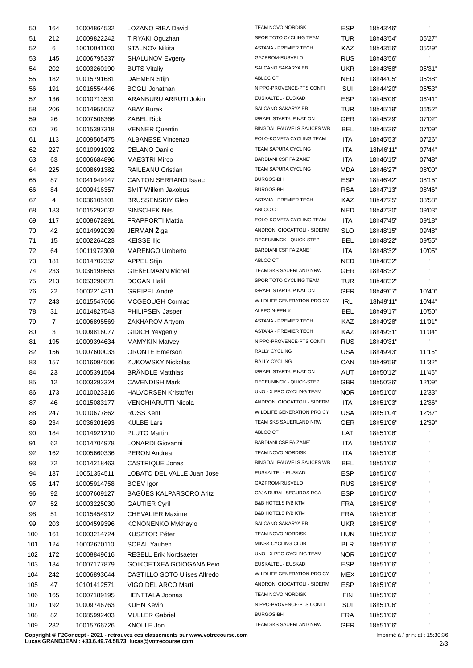| 50  | 164 | 10004864532 | LOZANO RIBA David                   | TEAM NOVO NORDISK             | <b>ESP</b> | 18h43'46" | $\mathbf{H}$ |
|-----|-----|-------------|-------------------------------------|-------------------------------|------------|-----------|--------------|
| 51  | 212 | 10009822242 | TIRYAKI Oguzhan                     | SPOR TOTO CYCLING TEAM        | TUR        | 18h43'54" | 05'27"       |
| 52  | 6   | 10010041100 | <b>STALNOV Nikita</b>               | ASTANA - PREMIER TECH         | KAZ        | 18h43'56" | 05'29"       |
| 53  | 145 | 10006795337 | <b>SHALUNOV Evgeny</b>              | GAZPROM-RUSVELO               | <b>RUS</b> | 18h43'56" | $\mathbf{H}$ |
| 54  | 202 | 10003260190 | <b>BUTS Vitaliy</b>                 | SALCANO SAKARYA BB            | <b>UKR</b> | 18h43'58" | 05'31"       |
| 55  | 182 | 10015791681 | <b>DAEMEN Stijn</b>                 | ABLOC CT                      | NED        | 18h44'05" | 05'38"       |
| 56  | 191 | 10016554446 | <b>BÖGLI Jonathan</b>               | NIPPO-PROVENCE-PTS CONTI      | SUI        | 18h44'20" | 05'53"       |
| 57  | 136 | 10010713531 | ARANBURU ARRUTI Jokin               | EUSKALTEL - EUSKADI           | <b>ESP</b> | 18h45'08" | 06'41"       |
| 58  | 206 | 10014955057 | <b>ABAY Burak</b>                   | SALCANO SAKARYA BB            | TUR        | 18h45'19" | 06'52"       |
| 59  | 26  | 10007506366 | <b>ZABEL Rick</b>                   | <b>ISRAEL START-UP NATION</b> | GER.       | 18h45'29" | 07'02"       |
| 60  | 76  | 10015397318 | <b>VENNER Quentin</b>               | BINGOAL PAUWELS SAUCES WB     | <b>BEL</b> | 18h45'36" | 07'09"       |
| 61  | 113 | 10009505475 | <b>ALBANESE Vincenzo</b>            | EOLO-KOMETA CYCLING TEAM      | <b>ITA</b> | 18h45'53" | 07'26"       |
| 62  | 227 | 10010991902 | <b>CELANO Danilo</b>                | TEAM SAPURA CYCLING           | ITA        | 18h46'11" | 07'44"       |
| 63  | 63  | 10006684896 | <b>MAESTRI Mirco</b>                | <b>BARDIANI CSF FAIZANE</b>   | <b>ITA</b> | 18h46'15" | 07'48"       |
| 64  | 225 | 10008691382 | <b>RAILEANU Cristian</b>            | TEAM SAPURA CYCLING           | <b>MDA</b> | 18h46'27" | 08'00"       |
|     | 87  | 10041949147 | <b>CANTON SERRANO Isaac</b>         | <b>BURGOS-BH</b>              | <b>ESP</b> | 18h46'42" | 08'15"       |
| 65  |     |             |                                     | <b>BURGOS-BH</b>              |            |           |              |
| 66  | 84  | 10009416357 | <b>SMIT Willem Jakobus</b>          | ASTANA - PREMIER TECH         | <b>RSA</b> | 18h47'13" | 08'46"       |
| 67  | 4   | 10036105101 | <b>BRUSSENSKIY Gleb</b>             | ABLOC CT                      | KAZ        | 18h47'25" | 08'58"       |
| 68  | 183 | 10015292032 | <b>SINSCHEK Nils</b>                |                               | NED        | 18h47'30" | 09'03"       |
| 69  | 117 | 10008672891 | <b>FRAPPORTI Mattia</b>             | EOLO-KOMETA CYCLING TEAM      | ITA        | 18h47'45" | 09'18"       |
| 70  | 42  | 10014992039 | JERMAN Žiga                         | ANDRONI GIOCATTOLI - SIDERM   | <b>SLO</b> | 18h48'15" | 09'48"       |
| 71  | 15  | 10002264023 | <b>KEISSE IIjo</b>                  | DECEUNINCK - QUICK-STEP       | BEL        | 18h48'22" | 09'55"       |
| 72  | 64  | 10011972309 | <b>MARENGO Umberto</b>              | <b>BARDIANI CSF FAIZANE</b>   | ITA        | 18h48'32" | 10'05"       |
| 73  | 181 | 10014702352 | <b>APPEL Stijn</b>                  | ABLOC CT                      | NED        | 18h48'32" | $\mathbf{H}$ |
| 74  | 233 | 10036198663 | <b>GIEßELMANN Michel</b>            | TEAM SKS SAUERLAND NRW        | GER.       | 18h48'32" | $\mathbf{H}$ |
| 75  | 213 | 10053290871 | <b>DOGAN Halil</b>                  | SPOR TOTO CYCLING TEAM        | <b>TUR</b> | 18h48'32" | $\mathbf{H}$ |
| 76  | 22  | 10002214311 | GREIPEL André                       | <b>ISRAEL START-UP NATION</b> | <b>GER</b> | 18h49'07" | 10'40"       |
| 77  | 243 | 10015547666 | MCGEOUGH Cormac                     | WILDLIFE GENERATION PRO CY    | <b>IRL</b> | 18h49'11" | 10'44"       |
| 78  | 31  | 10014827543 | <b>PHILIPSEN Jasper</b>             | ALPECIN-FENIX                 | BEL        | 18h49'17" | 10'50"       |
| 79  | 7   | 10006895569 | ZAKHAROV Artyom                     | ASTANA - PREMIER TECH         | KAZ        | 18h49'28" | 11'01"       |
| 80  | 3   | 10009816077 | <b>GIDICH Yevgeniy</b>              | ASTANA - PREMIER TECH         | <b>KAZ</b> | 18h49'31" | 11'04"       |
| 81  | 195 | 10009394634 | <b>MAMYKIN Matvey</b>               | NIPPO-PROVENCE-PTS CONTI      | <b>RUS</b> | 18h49'31" | $\mathbf{H}$ |
| 82  | 156 | 10007600033 | <b>ORONTE Emerson</b>               | RALLY CYCLING                 | USA        | 18h49'43" | 11'16"       |
| 83  | 157 | 10016094506 | <b>ZUKOWSKY Nickolas</b>            | RALLY CYCLING                 | CAN        | 18h49'59" | 11'32"       |
| 84  | 23  | 10005391564 | <b>BRÄNDLE Matthias</b>             | <b>ISRAEL START-UP NATION</b> | AUT        | 18h50'12" | 11'45"       |
| 85  | 12  | 10003292324 | <b>CAVENDISH Mark</b>               | DECEUNINCK - QUICK-STEP       | <b>GBR</b> | 18h50'36" | 12'09"       |
| 86  | 173 | 10010023316 | <b>HALVORSEN Kristoffer</b>         | UNO - X PRO CYCLING TEAM      | NOR        | 18h51'00" | 12'33"       |
| 87  | 46  | 10015083177 | <b>VENCHIARUTTI Nicola</b>          | ANDRONI GIOCATTOLI - SIDERM   | ITA        | 18h51'03" | 12'36"       |
| 88  | 247 | 10010677862 | <b>ROSS Kent</b>                    | WILDLIFE GENERATION PRO CY    | <b>USA</b> | 18h51'04" | 12'37"       |
| 89  | 234 | 10036201693 | <b>KULBE Lars</b>                   | TEAM SKS SAUERLAND NRW        | <b>GER</b> | 18h51'06" | 12'39"       |
| 90  | 184 | 10014921210 | PLUTO Martin                        | ABLOC CT                      | LAT        | 18h51'06" |              |
| 91  | 62  | 10014704978 | LONARDI Giovanni                    | <b>BARDIANI CSF FAIZANE</b>   | ITA        | 18h51'06" |              |
| 92  | 162 | 10005660336 | <b>PERON Andrea</b>                 | TEAM NOVO NORDISK             | <b>ITA</b> | 18h51'06" |              |
| 93  | 72  | 10014218463 | <b>CASTRIQUE Jonas</b>              | BINGOAL PAUWELS SAUCES WB     | <b>BEL</b> | 18h51'06" |              |
| 94  | 137 | 10051354511 | LOBATO DEL VALLE Juan Jose          | EUSKALTEL - EUSKADI           | <b>ESP</b> | 18h51'06" |              |
| 95  | 147 | 10005914758 | <b>BOEV</b> Igor                    | GAZPROM-RUSVELO               | <b>RUS</b> | 18h51'06" |              |
| 96  | 92  | 10007609127 | BAGÜES KALPARSORO Aritz             | CAJA RURAL-SEGUROS RGA        | <b>ESP</b> | 18h51'06" |              |
|     | 52  |             | <b>GAUTIER Cyril</b>                | <b>B&amp;B HOTELS P/B KTM</b> | <b>FRA</b> |           |              |
| 97  |     | 10003225030 |                                     | B&B HOTELS P/B KTM            |            | 18h51'06" | $\mathbf{H}$ |
| 98  | 51  | 10015454912 | <b>CHEVALIER Maxime</b>             |                               | <b>FRA</b> | 18h51'06" | $\mathbf{H}$ |
| 99  | 203 | 10004599396 | KONONENKO Mykhaylo                  | SALCANO SAKARYA BB            | <b>UKR</b> | 18h51'06" | $\mathbf{H}$ |
| 100 | 161 | 10003214724 | <b>KUSZTOR Péter</b>                | TEAM NOVO NORDISK             | <b>HUN</b> | 18h51'06" |              |
| 101 | 124 | 10002670110 | SOBAL Yauhen                        | MINSK CYCLING CLUB            | <b>BLR</b> | 18h51'06" |              |
| 102 | 172 | 10008849616 | <b>RESELL Erik Nordsaeter</b>       | UNO - X PRO CYCLING TEAM      | <b>NOR</b> | 18h51'06" |              |
| 103 | 134 | 10007177879 | GOIKOETXEA GOIOGANA Peio            | EUSKALTEL - EUSKADI           | <b>ESP</b> | 18h51'06" |              |
| 104 | 242 | 10006893044 | <b>CASTILLO SOTO Ulises Alfredo</b> | WILDLIFE GENERATION PRO CY    | MEX        | 18h51'06" | $\mathbf{H}$ |
| 105 | 47  | 10101412571 | VIGO DEL ARCO Marti                 | ANDRONI GIOCATTOLI - SIDERM   | <b>ESP</b> | 18h51'06" | $\mathbf{H}$ |
| 106 | 165 | 10007189195 | <b>HENTTALA Joonas</b>              | TEAM NOVO NORDISK             | <b>FIN</b> | 18h51'06" | $\mathbf{H}$ |
| 107 | 192 | 10009746763 | KUHN Kevin                          | NIPPO-PROVENCE-PTS CONTI      | SUI        | 18h51'06" | $\mathbf{H}$ |
| 108 | 82  | 10085992403 | <b>MULLER Gabriel</b>               | <b>BURGOS-BH</b>              | <b>FRA</b> | 18h51'06" | $\mathbf{H}$ |
| 109 | 232 | 10015766726 | KNOLLE Jon                          | TEAM SKS SAUERLAND NRW        | <b>GER</b> | 18h51'06" |              |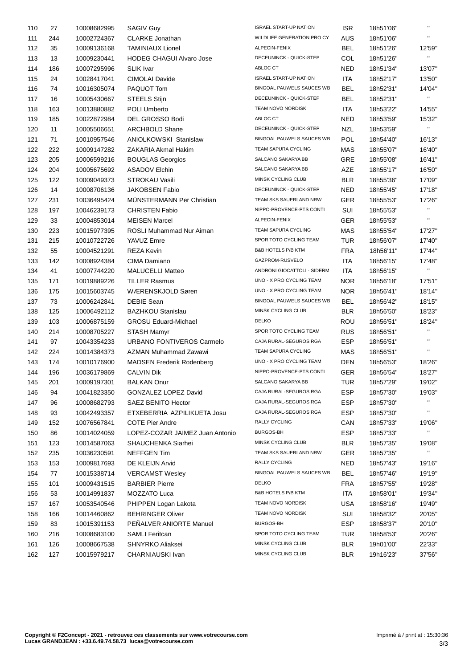| 110 | 27  | 10008682995 | <b>SAGIV Guy</b>                 | <b>ISRAEL START-UP NATION</b>    | <b>ISR</b> | 18h51'06" | $\mathbf{H}$           |
|-----|-----|-------------|----------------------------------|----------------------------------|------------|-----------|------------------------|
| 111 | 244 | 10002724367 | <b>CLARKE Jonathan</b>           | WILDLIFE GENERATION PRO CY       | <b>AUS</b> | 18h51'06" | $\mathbf{H}$           |
| 112 | 35  | 10009136168 | <b>TAMINIAUX Lionel</b>          | ALPECIN-FENIX                    | <b>BEL</b> | 18h51'26" | 12'59"                 |
| 113 | 13  | 10009230441 | <b>HODEG CHAGUI Alvaro Jose</b>  | DECEUNINCK - QUICK-STEP          | COL        | 18h51'26" | $\mathbf{H}$           |
| 114 | 186 | 10007295996 | <b>SLIK Ivar</b>                 | ABLOC CT                         | <b>NED</b> | 18h51'34" | 13'07"                 |
| 115 | 24  | 10028417041 | CIMOLAI Davide                   | <b>ISRAEL START-UP NATION</b>    | ITA        | 18h52'17" | 13'50"                 |
| 116 | 74  | 10016305074 | PAQUOT Tom                       | BINGOAL PAUWELS SAUCES WB        | <b>BEL</b> | 18h52'31" | 14'04"                 |
| 117 | 16  | 10005430667 | <b>STEELS Stijn</b>              | DECEUNINCK - QUICK-STEP          | BEL        | 18h52'31" |                        |
| 118 | 163 | 10013880882 | POLI Umberto                     | TEAM NOVO NORDISK                | <b>ITA</b> | 18h53'22" | 14'55"                 |
| 119 | 185 | 10022872984 | DEL GROSSO Bodi                  | ABLOC CT                         | NED        | 18h53'59" | 15'32"                 |
| 120 | 11  | 10005506651 | <b>ARCHBOLD Shane</b>            | DECEUNINCK - QUICK-STEP          | <b>NZL</b> | 18h53'59" | $\mathbf{H}^{\prime}$  |
| 121 | 71  | 10010957546 | <b>ANIOLKOWSKI Stanislaw</b>     | BINGOAL PAUWELS SAUCES WB        | POL        | 18h54'40" | 16'13"                 |
| 122 | 222 | 10009147282 | ZAKARIA Akmal Hakim              | TEAM SAPURA CYCLING              | <b>MAS</b> | 18h55'07" | 16'40"                 |
| 123 | 205 | 10006599216 | <b>BOUGLAS Georgios</b>          | SALCANO SAKARYA BB               | GRE        | 18h55'08" | 16'41"                 |
| 124 | 204 | 10005675692 | <b>ASADOV Elchin</b>             | SALCANO SAKARYA BB               | <b>AZE</b> | 18h55'17" | 16'50"                 |
| 125 | 122 | 10009049373 | <b>STROKAU Vasili</b>            | MINSK CYCLING CLUB               | <b>BLR</b> | 18h55'36" | 17'09"                 |
| 126 | 14  | 10008706136 | JAKOBSEN Fabio                   | DECEUNINCK - QUICK-STEP          | <b>NED</b> | 18h55'45" | 17'18"                 |
| 127 | 231 | 10036495424 | <b>MUNSTERMANN Per Christian</b> | TEAM SKS SAUERLAND NRW           | <b>GER</b> | 18h55'53" | 17'26"                 |
| 128 | 197 | 10046239173 | <b>CHRISTEN Fabio</b>            | NIPPO-PROVENCE-PTS CONTI         | SUI        | 18h55'53" | H.                     |
| 129 | 33  | 10004853014 | <b>MEISEN Marcel</b>             | ALPECIN-FENIX                    | GER        | 18h55'53" | н.                     |
| 130 | 223 | 10015977395 | ROSLI Muhammad Nur Aiman         | TEAM SAPURA CYCLING              | <b>MAS</b> | 18h55'54" | 17'27"                 |
| 131 | 215 | 10010722726 | YAVUZ Emre                       | SPOR TOTO CYCLING TEAM           | <b>TUR</b> | 18h56'07" | 17'40"                 |
| 132 | 55  | 10004521291 | <b>REZA Kevin</b>                | <b>B&amp;B HOTELS P/B KTM</b>    | <b>FRA</b> | 18h56'11" | 17'44"                 |
| 133 | 142 | 10008924384 | CIMA Damiano                     | GAZPROM-RUSVELO                  | <b>ITA</b> | 18h56'15" | 17'48"                 |
| 134 | 41  |             |                                  | ANDRONI GIOCATTOLI - SIDERM      | <b>ITA</b> |           | $\mathbf{H}$           |
| 135 |     | 10007744220 | <b>MALUCELLI Matteo</b>          | UNO - X PRO CYCLING TEAM         | <b>NOR</b> | 18h56'15" |                        |
|     | 171 | 10019889226 | <b>TILLER Rasmus</b>             | UNO - X PRO CYCLING TEAM         |            | 18h56'18" | 17'51"                 |
| 136 | 175 | 10015603745 | WÆRENSKJOLD Søren                | BINGOAL PAUWELS SAUCES WB        | <b>NOR</b> | 18h56'41" | 18'14"                 |
| 137 | 73  | 10006242841 | <b>DEBIE Sean</b>                | MINSK CYCLING CLUB               | <b>BEL</b> | 18h56'42" | 18'15"                 |
| 138 | 125 | 10006492112 | <b>BAZHKOU Stanislau</b>         | <b>DELKO</b>                     | <b>BLR</b> | 18h56'50" | 18'23"                 |
| 139 | 103 | 10006875159 | <b>GROSU Eduard-Michael</b>      | SPOR TOTO CYCLING TEAM           | ROU        | 18h56'51" | 18'24"<br>$\mathbf{H}$ |
| 140 | 214 | 10008705227 | <b>STASH Mamyr</b>               | CAJA RURAL-SEGUROS RGA           | <b>RUS</b> | 18h56'51" | $\mathbf{H}$           |
| 141 | 97  | 10043354233 | URBANO FONTIVEROS Carmelo        |                                  | <b>ESP</b> | 18h56'51" | н.                     |
| 142 | 224 | 10014384373 | AZMAN Muhammad Zawawi            | TEAM SAPURA CYCLING              | <b>MAS</b> | 18h56'51" |                        |
| 143 | 174 | 10010176900 | <b>MADSEN Frederik Rodenberg</b> | UNO - X PRO CYCLING TEAM         | <b>DEN</b> | 18h56'53" | 18'26"                 |
| 144 | 196 | 10036179869 | <b>CALVIN Dik</b>                | NIPPO-PROVENCE-PTS CONTI         | <b>GER</b> | 18h56'54" | 18'27"                 |
| 145 | 201 | 10009197301 | <b>BALKAN Onur</b>               | SALCANO SAKARYA BB               | TUR        | 18h57'29" | 19'02"                 |
| 146 | 94  | 10041823350 | GONZALEZ LOPEZ David             | CAJA RURAL-SEGUROS RGA           | <b>ESP</b> | 18h57'30" | 19'03"                 |
| 147 | 96  | 10008682793 | <b>SAEZ BENITO Hector</b>        | CAJA RURAL-SEGUROS RGA           | <b>ESP</b> | 18h57'30" | н.                     |
| 148 | 93  | 10042493357 | ETXEBERRIA AZPILIKUETA Josu      | CAJA RURAL-SEGUROS RGA           | <b>ESP</b> | 18h57'30" |                        |
| 149 | 152 | 10076567841 | <b>COTE Pier Andre</b>           | <b>RALLY CYCLING</b>             | CAN        | 18h57'33" | 19'06"                 |
| 150 | 86  | 10014024059 | LOPEZ-COZAR JAIMEZ Juan Antonio  | <b>BURGOS-BH</b>                 | <b>ESP</b> | 18h57'33" | н.                     |
| 151 | 123 | 10014587063 | SHAUCHENKA Siarhei               | MINSK CYCLING CLUB               | <b>BLR</b> | 18h57'35" | 19'08"                 |
| 152 | 235 | 10036230591 | <b>NEFFGEN Tim</b>               | TEAM SKS SAUERLAND NRW           | <b>GER</b> | 18h57'35" | $\mathbf{H}$           |
| 153 | 153 | 10009817693 | DE KLEIJN Arvid                  | RALLY CYCLING                    | <b>NED</b> | 18h57'43" | 19'16"                 |
| 154 | 77  | 10015338714 | <b>VERCAMST Wesley</b>           | <b>BINGOAL PAUWELS SAUCES WB</b> | <b>BEL</b> | 18h57'46" | 19'19"                 |
| 155 | 101 | 10009431515 | <b>BARBIER Pierre</b>            | <b>DELKO</b>                     | <b>FRA</b> | 18h57'55" | 19'28"                 |
| 156 | 53  | 10014991837 | MOZZATO Luca                     | B&B HOTELS P/B KTM               | ITA        | 18h58'01" | 19'34"                 |
| 157 | 167 | 10053540546 | PHIPPEN Logan Lakota             | TEAM NOVO NORDISK                | <b>USA</b> | 18h58'16" | 19'49"                 |
| 158 | 166 | 10014460862 | <b>BEHRINGER Oliver</b>          | TEAM NOVO NORDISK                | SUI        | 18h58'32" | 20'05"                 |
| 159 | 83  | 10015391153 | PENALVER ANIORTE Manuel          | <b>BURGOS-BH</b>                 | <b>ESP</b> | 18h58'37" | 20'10"                 |
| 160 | 216 | 10008683100 | <b>SAMLI Feritcan</b>            | SPOR TOTO CYCLING TEAM           | <b>TUR</b> | 18h58'53" | 20'26"                 |
| 161 | 126 | 10008667538 | SHNYRKO Aliaksei                 | MINSK CYCLING CLUB               | <b>BLR</b> | 19h01'00" | 22'33"                 |
| 162 | 127 | 10015979217 | CHARNIAUSKI Ivan                 | MINSK CYCLING CLUB               | <b>BLR</b> | 19h16'23" | 37'56"                 |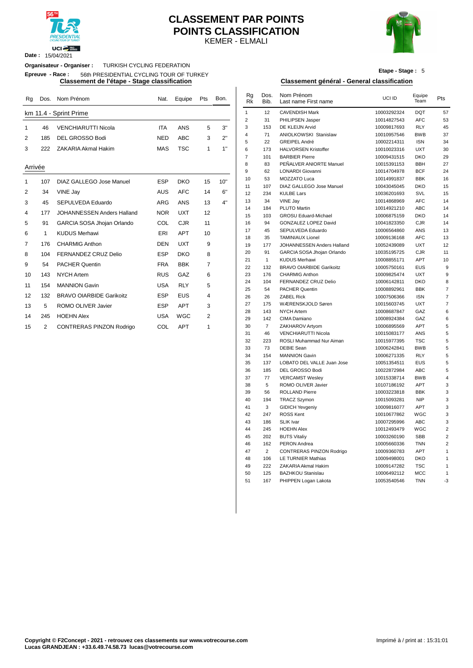

**Date :** 15/04/2021

### KEMER - ELMALI **CLASSEMENT PAR POINTS POINTS CLASSIFICATION**



**Etape - Stage :** 5

# **Classement de l'étape - Stage classification Classement général - General classification**

|    | Epreuve - Race: | 56th PRESIDENTIAL CYCLING TOUR OF TURKEY     |            |            |     |      |          |                      |                                        | Etape -  |
|----|-----------------|----------------------------------------------|------------|------------|-----|------|----------|----------------------|----------------------------------------|----------|
|    |                 | Classement de l'étape - Stage classification |            |            |     |      |          |                      | Classement général - General classific |          |
| Ra | Dos.            | Nom Prénom                                   | Nat.       | Equipe     | Pts | Bon. | Rq<br>Rk | Dos.<br>Bib.         | Nom Prénom<br>Last name First name     | UCI ID   |
|    |                 | km 11.4 - Sprint Prime                       |            |            |     |      |          | 12                   | <b>CAVENDISH Mark</b>                  | 10003292 |
|    |                 |                                              |            |            |     |      |          | 31                   | PHILIPSEN Jasper                       | 10014827 |
|    | 46              | <b>VENCHIARUTTI Nicola</b>                   | <b>ITA</b> | <b>ANS</b> | 5   | 3"   | 3        | 153                  | DE KLEIJN Arvid                        | 10009817 |
|    |                 | DEL GROSSO Bodi                              | <b>NED</b> |            | 3   |      | 4        | 71                   | <b>ANIOLKOWSKI Stanislaw</b>           | 10010957 |
|    | 185             |                                              |            | <b>ABC</b> |     | 2"   | 5        | 22                   | GREIPEL André                          | 10002214 |
|    | 222             | ZAKARIA Akmal Hakim                          | <b>MAS</b> | TSC        |     | 1"   | 6        | 173                  | <b>HALVORSEN Kristoffer</b>            | 10010023 |
|    |                 |                                              |            |            |     |      |          | $\sim$ $\sim$ $\sim$ | -------                                | .        |

**Organisateur - Organiser :** TURKISH CYCLING FEDERATION

### Arrivée

| Arrivée |     |                                   |            |            |                |     | 9  | 62  | <b>LONARDI Giovanni</b>         | 10014704978 | <b>BCF</b> | $2\ell$        |
|---------|-----|-----------------------------------|------------|------------|----------------|-----|----|-----|---------------------------------|-------------|------------|----------------|
|         | 107 | DIAZ GALLEGO Jose Manuel          | <b>ESP</b> | <b>DKO</b> | 15             | 10" | 10 | 53  | <b>MOZZATO Luca</b>             | 10014991837 | <b>BBK</b> | 16             |
|         |     |                                   |            |            |                |     | 11 | 107 | DIAZ GALLEGO Jose Manuel        | 10043045045 | <b>DKO</b> | 15             |
| 2       | 34  | VINE Jay                          | <b>AUS</b> | <b>AFC</b> | 14             | 6"  | 12 | 234 | <b>KULBE Lars</b>               | 10036201693 | SVL        | 15             |
| 3       | 45  | SEPULVEDA Eduardo                 | <b>ARG</b> | <b>ANS</b> | 13             | 4"  | 13 | 34  | VINE Jay                        | 10014868969 | <b>AFC</b> | 14             |
| 4       | 177 | <b>JOHANNESSEN Anders Halland</b> | <b>NOR</b> | <b>UXT</b> | 12             |     | 14 | 184 | PLUTO Martin                    | 10014921210 | <b>ABC</b> | 14             |
|         |     |                                   |            |            |                |     | 15 | 103 | <b>GROSU Eduard-Michael</b>     | 10006875159 | <b>DKO</b> | 14             |
| 5       | 91  | GARCIA SOSA Jhojan Orlando        | COL        | <b>CJR</b> | 11             |     | 16 | 94  | <b>GONZALEZ LOPEZ David</b>     | 10041823350 | CJR        | 14             |
| 6       |     | <b>KUDUS Merhawi</b>              | ERI        | <b>APT</b> | 10             |     | 17 | 45  | SEPULVEDA Eduardo               | 10006564860 | ANS        | 13             |
|         |     |                                   |            |            |                |     | 18 | 35  | <b>TAMINIAUX Lionel</b>         | 10009136168 | <b>AFC</b> | 13             |
| 7       | 176 | <b>CHARMIG Anthon</b>             | <b>DEN</b> | <b>UXT</b> | 9              |     | 19 | 177 | JOHANNESSEN Anders Halland      | 10052439089 | <b>UXT</b> | 12             |
| 8       | 104 | FERNANDEZ CRUZ Delio              | <b>ESP</b> | <b>DKO</b> | 8              |     | 20 | 91  | GARCIA SOSA Jhojan Orlando      | 10035195725 | CJR        | 11             |
| 9       | 54  | <b>PACHER Quentin</b>             | <b>FRA</b> | <b>BBK</b> | $\overline{7}$ |     | 21 |     | <b>KUDUS Merhawi</b>            | 10008855171 | <b>APT</b> | 1 <sup>1</sup> |
|         |     |                                   |            |            |                |     | 22 | 132 | <b>BRAVO OIARBIDE Garikoitz</b> | 10005750161 | <b>EUS</b> |                |
| 10      | 143 | <b>NYCH Artem</b>                 | <b>RUS</b> | GAZ        | 6              |     | 23 | 176 | <b>CHARMIG Anthon</b>           | 10009825474 | <b>UXT</b> |                |
| 11      | 154 | <b>MANNION Gavin</b>              | <b>USA</b> | <b>RLY</b> | 5              |     | 24 | 104 | FERNANDEZ CRUZ Delio            | 10006142811 | <b>DKO</b> |                |
|         |     |                                   |            |            |                |     | 25 | 54  | <b>PACHER Quentin</b>           | 10008892961 | <b>BBK</b> |                |
| 12      | 132 | <b>BRAVO OIARBIDE Garikoitz</b>   | <b>ESP</b> | <b>EUS</b> | 4              |     | 26 | 26  | <b>ZABEL Rick</b>               | 10007506366 | <b>ISN</b> |                |
| 13      | 5   | ROMO OLIVER Javier                | <b>ESP</b> | <b>APT</b> | 3              |     | 27 | 175 | WÆRENSKJOLD Søren               | 10015603745 | <b>UXT</b> |                |
|         |     | <b>HOEHN Alex</b>                 | <b>USA</b> | <b>WGC</b> | $\overline{2}$ |     | 28 | 143 | <b>NYCH Artem</b>               | 10008687847 | GAZ        |                |
| 14      | 245 |                                   |            |            |                |     | 29 | 142 | CIMA Damiano                    | 10008924384 | GAZ        |                |
| 15      | 2   | <b>CONTRERAS PINZON Rodrigo</b>   | <b>COL</b> | <b>APT</b> |                |     | 30 |     | ZAKHAROV Artyom                 | 10006895569 | <b>APT</b> |                |

| Rg      |                | Dos. Nom Prénom                 | Nat.       | Equipe     | Pts            | Bon. | Rg<br>Rk       | Dos.<br>Bib.         | Nom Prénom<br>Last name First name            | UCI ID                     | Equipe<br>Team    | Pts            |
|---------|----------------|---------------------------------|------------|------------|----------------|------|----------------|----------------------|-----------------------------------------------|----------------------------|-------------------|----------------|
|         |                | km 11.4 - Sprint Prime          |            |            |                |      | $\mathbf{1}$   | 12                   | <b>CAVENDISH Mark</b>                         | 10003292324                | <b>DQT</b>        | 57             |
|         |                |                                 |            |            |                |      | $\overline{2}$ | 31                   | PHILIPSEN Jasper                              | 10014827543                | <b>AFC</b>        | 53             |
| 1       | 46             | <b>VENCHIARUTTI Nicola</b>      | <b>ITA</b> | <b>ANS</b> | 5              | 3"   | 3              | 153                  | DE KLEIJN Arvid                               | 10009817693                | <b>RLY</b>        | 45             |
| 2       | 185            | DEL GROSSO Bodi                 | <b>NED</b> | <b>ABC</b> | 3              | 2"   | 4              | 71                   | ANIOLKOWSKI Stanislaw                         | 10010957546                | <b>BWB</b>        | 37             |
|         |                |                                 |            |            |                |      | 5              | 22                   | GREIPEL André                                 | 10002214311                | <b>ISN</b>        | 34             |
| 3       | 222            | <b>ZAKARIA Akmal Hakim</b>      | <b>MAS</b> | <b>TSC</b> | $\mathbf{1}$   | 1"   | 6              | 173                  | <b>HALVORSEN Kristoffer</b>                   | 10010023316                | <b>UXT</b>        | 30             |
|         |                |                                 |            |            |                |      | $\overline{7}$ | 101                  | <b>BARBIER Pierre</b>                         | 10009431515                | <b>DKO</b>        | 29             |
| Arrivée |                |                                 |            |            |                |      | 8              | 83                   | PEÑALVER ANIORTE Manuel                       | 10015391153                | <b>BBH</b>        | 27             |
|         |                |                                 |            |            |                |      | 9              | 62                   | LONARDI Giovanni                              | 10014704978                | <b>BCF</b>        | 24             |
| 1       | 107            | DIAZ GALLEGO Jose Manuel        | <b>ESP</b> | <b>DKO</b> | 15             | 10"  | 10             | 53                   | MOZZATO Luca                                  | 10014991837                | <b>BBK</b>        | 16             |
| 2       | 34             | VINE Jay                        | <b>AUS</b> | <b>AFC</b> | 14             | 6"   | 11<br>12       | 107<br>234           | DIAZ GALLEGO Jose Manuel<br><b>KULBE Lars</b> | 10043045045<br>10036201693 | <b>DKO</b><br>SVL | 15<br>15       |
|         |                |                                 |            |            |                | 4"   | 13             | 34                   | VINE Jay                                      | 10014868969                | <b>AFC</b>        | 14             |
| 3       | 45             | SEPULVEDA Eduardo               | <b>ARG</b> | ANS        | 13             |      | 14             | 184                  | PLUTO Martin                                  | 10014921210                | ABC               | 14             |
| 4       | 177            | JOHANNESSEN Anders Halland      | <b>NOR</b> | <b>UXT</b> | 12             |      | 15             | 103                  | <b>GROSU Eduard-Michael</b>                   | 10006875159                | <b>DKO</b>        | 14             |
| 5       | 91             | GARCIA SOSA Jhojan Orlando      | COL        | <b>CJR</b> | 11             |      | 16             | 94                   | GONZALEZ LOPEZ David                          | 10041823350                | CJR               | 14             |
|         |                |                                 |            |            |                |      | 17             | 45                   | SEPULVEDA Eduardo                             | 10006564860                | ANS               | 13             |
| 6       | $\mathbf{1}$   | <b>KUDUS Merhawi</b>            | ERI        | <b>APT</b> | 10             |      | 18             | 35                   | <b>TAMINIAUX Lionel</b>                       | 10009136168                | <b>AFC</b>        | 13             |
| 7       | 176            | <b>CHARMIG Anthon</b>           | <b>DEN</b> | <b>UXT</b> | 9              |      | 19             | 177                  | JOHANNESSEN Anders Halland                    | 10052439089                | <b>UXT</b>        | 12             |
| 8       | 104            | <b>FERNANDEZ CRUZ Delio</b>     | <b>ESP</b> | <b>DKO</b> | 8              |      | 20             | 91                   | GARCIA SOSA Jhojan Orlando                    | 10035195725                | <b>CJR</b>        | 11             |
|         |                |                                 |            |            |                |      | 21             | $\mathbf{1}$         | <b>KUDUS Merhawi</b>                          | 10008855171                | APT               | 10             |
| 9       | 54             | <b>PACHER Quentin</b>           | <b>FRA</b> | <b>BBK</b> | $\overline{7}$ |      | 22             | 132                  | <b>BRAVO OIARBIDE Garikoitz</b>               | 10005750161                | <b>EUS</b>        | 9              |
| 10      | 143            | <b>NYCH Artem</b>               | <b>RUS</b> | GAZ        | 6              |      | 23             | 176                  | <b>CHARMIG Anthon</b>                         | 10009825474                | <b>UXT</b>        | 9              |
| 11      | 154            | <b>MANNION Gavin</b>            | <b>USA</b> | <b>RLY</b> | 5              |      | 24             | 104                  | FERNANDEZ CRUZ Delio                          | 10006142811                | <b>DKO</b>        | 8              |
|         |                |                                 |            |            |                |      | 25             | 54                   | <b>PACHER Quentin</b>                         | 10008892961                | <b>BBK</b>        | $\overline{7}$ |
| 12      | 132            | <b>BRAVO OIARBIDE Garikoitz</b> | <b>ESP</b> | <b>EUS</b> | $\overline{4}$ |      | 26             | 26                   | <b>ZABEL Rick</b>                             | 10007506366                | <b>ISN</b>        | $\overline{7}$ |
| 13      | 5              | ROMO OLIVER Javier              | <b>ESP</b> | <b>APT</b> | 3              |      | 27             | 175                  | WÆRENSKJOLD Søren                             | 10015603745                | UXT               | $\overline{7}$ |
| 14      | 245            | <b>HOEHN Alex</b>               | <b>USA</b> | <b>WGC</b> | $\overline{2}$ |      | 28             | 143                  | <b>NYCH Artem</b>                             | 10008687847                | GAZ               | 6              |
|         |                |                                 |            |            |                |      | 29             | 142                  | CIMA Damiano                                  | 10008924384                | GAZ               | 6              |
| 15      | $\overline{2}$ | CONTRERAS PINZON Rodrigo        | COL        | <b>APT</b> | $\mathbf{1}$   |      | 30<br>31       | $\overline{7}$<br>46 | ZAKHAROV Artyom<br>VENCHIARUTTI Nicola        | 10006895569                | APT<br>ANS        | 5<br>5         |
|         |                |                                 |            |            |                |      | 32             | 223                  | ROSLI Muhammad Nur Aiman                      | 10015083177<br>10015977395 | <b>TSC</b>        | 5              |
|         |                |                                 |            |            |                |      | 33             | 73                   | <b>DEBIE Sean</b>                             | 10006242841                | <b>BWB</b>        | 5              |
|         |                |                                 |            |            |                |      | 34             | 154                  | <b>MANNION Gavin</b>                          | 10006271335                | <b>RLY</b>        | 5              |
|         |                |                                 |            |            |                |      | 35             | 137                  | LOBATO DEL VALLE Juan Jose                    | 10051354511                | <b>EUS</b>        | 5              |
|         |                |                                 |            |            |                |      | 36             | 185                  | DEL GROSSO Bodi                               | 10022872984                | <b>ABC</b>        | 5              |
|         |                |                                 |            |            |                |      | 37             | 77                   | <b>VERCAMST Wesley</b>                        | 10015338714                | <b>BWB</b>        | $\overline{4}$ |
|         |                |                                 |            |            |                |      | 38             | 5                    | ROMO OLIVER Javier                            | 10107186192                | APT               | 3              |
|         |                |                                 |            |            |                |      | 39             | 56                   | <b>ROLLAND Pierre</b>                         | 10003223818                | <b>BBK</b>        | 3              |
|         |                |                                 |            |            |                |      | 40             | 194                  | <b>TRACZ Szymon</b>                           | 10015093281                | <b>NIP</b>        | 3              |
|         |                |                                 |            |            |                |      | 41             | 3                    | <b>GIDICH Yevgeniy</b>                        | 10009816077                | APT               | 3              |
|         |                |                                 |            |            |                |      | 42             | 247                  | <b>ROSS Kent</b>                              | 10010677862                | WGC               | 3              |
|         |                |                                 |            |            |                |      | 43             | 186                  | <b>SLIK Ivar</b>                              | 10007295996                | ABC               | 3              |
|         |                |                                 |            |            |                |      | 44             | 245                  | <b>HOEHN Alex</b>                             | 10012493479                | WGC               | $\overline{2}$ |
|         |                |                                 |            |            |                |      | 45             | 202                  | <b>BUTS Vitaliy</b>                           | 10003260190                | <b>SBB</b>        | $\sqrt{2}$     |
|         |                |                                 |            |            |                |      | 46             | 162                  | PERON Andrea                                  | 10005660336                | <b>TNN</b>        | $\overline{2}$ |
|         |                |                                 |            |            |                |      | 47             | $\overline{2}$       | CONTRERAS PINZON Rodrigo                      | 10009360783                | APT               | $\mathbf{1}$   |
|         |                |                                 |            |            |                |      | 48             | 106                  | LE TURNIER Mathias                            | 10009498001                | <b>DKO</b>        | $\mathbf{1}$   |
|         |                |                                 |            |            |                |      | 49             | 222                  | ZAKARIA Akmal Hakim                           | 10009147282                | <b>TSC</b>        | $\mathbf{1}$   |
|         |                |                                 |            |            |                |      | 50             | 125                  | <b>BAZHKOU Stanislau</b>                      | 10006492112                | <b>MCC</b>        | $\mathbf{1}$   |
|         |                |                                 |            |            |                |      | 51             | 167                  | PHIPPEN Logan Lakota                          | 10053540546                | <b>TNN</b>        | $-3$           |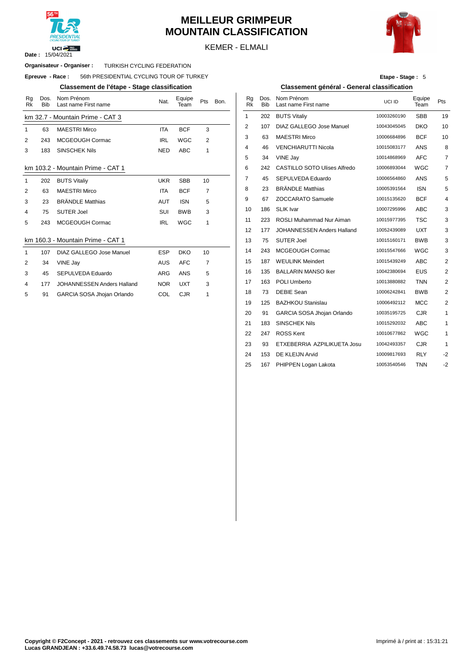

# **MEILLEUR GRIMPEUR MOUNTAIN CLASSIFICATION**



KEMER - ELMALI

### **Organisateur - Organiser : TURKISH CYCLING FEDERATION**

### $E$ preuve  $-$  **Race** : 56th PRESIDENTIAL CYCLING TOUR OF TURKEY

### **Classement de l'étape - Stage classification Classement général - General classification**

| Rg<br><b>Rk</b> | Dos.<br><b>Bib</b> | Nom Prénom<br>Last name First name | Nat.       | Equipe<br>Team | Pts            | Bon. | Rg<br><b>Rk</b> | Dos.<br><b>Bib</b> | Nom Prénom<br>Last name Firs |
|-----------------|--------------------|------------------------------------|------------|----------------|----------------|------|-----------------|--------------------|------------------------------|
|                 |                    | km 32.7 - Mountain Prime - CAT 3   |            |                |                |      | 1               | 202                | <b>BUTS Vitaliy</b>          |
| 1               | 63                 | <b>MAESTRI Mirco</b>               | <b>ITA</b> | <b>BCF</b>     | 3              |      | 2               | 107                | <b>DIAZ GALLEC</b>           |
| 2               | 243                | MCGEOUGH Cormac                    | <b>IRL</b> | <b>WGC</b>     | $\overline{2}$ |      | 3               | 63                 | <b>MAESTRI Mire</b>          |
| 3               | 183                | <b>SINSCHEK Nils</b>               | <b>NED</b> | <b>ABC</b>     | 1              |      | 4               | 46                 | <b>VENCHIARUT</b>            |
|                 |                    |                                    |            |                |                |      | 5               | 34                 | VINE Jay                     |
|                 |                    | km 103.2 - Mountain Prime - CAT 1  |            |                |                |      | 6               | 242                | <b>CASTILLO SC</b>           |
| $\mathbf{1}$    | 202                | <b>BUTS Vitaliy</b>                | <b>UKR</b> | <b>SBB</b>     | 10             |      | 7               | 45                 | <b>SEPULVEDA</b>             |
| 2               | 63                 | <b>MAESTRI Mirco</b>               | <b>ITA</b> | <b>BCF</b>     | 7              |      | 8               | 23                 | <b>BRÄNDLE Ma</b>            |
| 3               | 23                 | <b>BRÄNDLE Matthias</b>            | <b>AUT</b> | <b>ISN</b>     | 5              |      | 9               | 67                 | <b>ZOCCARATO</b>             |
| 4               | 75                 | <b>SUTER Joel</b>                  | SUI        | <b>BWB</b>     | 3              |      | 10              | 186                | <b>SLIK Ivar</b>             |
| 5               | 243                | MCGEOUGH Cormac                    | <b>IRL</b> | <b>WGC</b>     | 1              |      | 11              | 223                | <b>ROSLI Muhan</b>           |
|                 |                    |                                    |            |                |                |      | 12              | 177                | <b>JOHANNESS</b>             |
|                 |                    | km 160.3 - Mountain Prime - CAT 1  |            |                |                |      | 13              | 75                 | <b>SUTER Joel</b>            |
| $\mathbf{1}$    | 107                | <b>DIAZ GALLEGO Jose Manuel</b>    | <b>ESP</b> | <b>DKO</b>     | 10             |      | 14              | 243                | <b>MCGEOUGH</b>              |
| 2               | 34                 | VINE Jay                           | <b>AUS</b> | <b>AFC</b>     | 7              |      | 15              | 187                | <b>WEULINK Me</b>            |
| 3               | 45                 | SEPULVEDA Eduardo                  | <b>ARG</b> | ANS            | 5              |      | 16              | 135                | <b>BALLARIN MA</b>           |
| 4               | 177                | <b>JOHANNESSEN Anders Halland</b>  | <b>NOR</b> | <b>UXT</b>     | 3              |      | 17              | 163                | <b>POLI Umberto</b>          |
| 5               | 91                 | GARCIA SOSA Jhojan Orlando         | COL        | <b>CJR</b>     | 1              |      | 18              | 73                 | <b>DEBIE Sean</b>            |
|                 |                    |                                    |            |                |                |      |                 |                    |                              |

**Etape - Stage :** 5

| Nom Prénom<br>Last name First name | Nat.       | Equipe<br>Team | Pts | Bon. | Rg<br><b>Rk</b> | Dos.<br><b>Bib</b> | Nom Prénom<br>Last name First name  | UCI ID      | Equipe<br>Team | Pts                     |
|------------------------------------|------------|----------------|-----|------|-----------------|--------------------|-------------------------------------|-------------|----------------|-------------------------|
| lountain Prime - CAT 3             |            |                |     |      | $\mathbf{1}$    | 202                | <b>BUTS Vitaliy</b>                 | 10003260190 | <b>SBB</b>     | 19                      |
| <b>MAESTRI Mirco</b>               | <b>ITA</b> | <b>BCF</b>     | 3   |      | 2               | 107                | DIAZ GALLEGO Jose Manuel            | 10043045045 | <b>DKO</b>     | 10                      |
| MCGEOUGH Cormac                    | <b>IRL</b> | WGC            | 2   |      | 3               | 63                 | <b>MAESTRI Mirco</b>                | 10006684896 | <b>BCF</b>     | 10                      |
| <b>SINSCHEK Nils</b>               | <b>NED</b> | ABC            | 1   |      | 4               | 46                 | <b>VENCHIARUTTI Nicola</b>          | 10015083177 | <b>ANS</b>     | 8                       |
|                                    |            |                |     |      | 5               | 34                 | VINE Jay                            | 10014868969 | <b>AFC</b>     | $\overline{7}$          |
| Mountain Prime - CAT 1             |            |                |     |      | 6               | 242                | <b>CASTILLO SOTO Ulises Alfredo</b> | 10006893044 | <b>WGC</b>     | $\overline{7}$          |
| <b>BUTS Vitaliy</b>                | <b>UKR</b> | <b>SBB</b>     | 10  |      | 7               | 45                 | SEPULVEDA Eduardo                   | 10006564860 | ANS            | 5                       |
| <b>MAESTRI Mirco</b>               | <b>ITA</b> | <b>BCF</b>     | 7   |      | 8               | 23                 | <b>BRÄNDLE Matthias</b>             | 10005391564 | <b>ISN</b>     | 5                       |
| <b>BRÄNDLE Matthias</b>            | <b>AUT</b> | <b>ISN</b>     | 5   |      | 9               | 67                 | <b>ZOCCARATO Samuele</b>            | 10015135620 | <b>BCF</b>     | 4                       |
| <b>SUTER Joel</b>                  | SUI        | <b>BWB</b>     | 3   |      | 10              | 186                | <b>SLIK Ivar</b>                    | 10007295996 | <b>ABC</b>     | 3                       |
| MCGEOUGH Cormac                    | <b>IRL</b> | <b>WGC</b>     | 1   |      | 11              | 223                | <b>ROSLI Muhammad Nur Aiman</b>     | 10015977395 | <b>TSC</b>     | 3                       |
|                                    |            |                |     |      | 12              | 177                | JOHANNESSEN Anders Halland          | 10052439089 | UXT            | 3                       |
| Mountain Prime - CAT 1             |            |                |     |      | 13              | 75                 | <b>SUTER Joel</b>                   | 10015160171 | <b>BWB</b>     | 3                       |
| DIAZ GALLEGO Jose Manuel           | <b>ESP</b> | <b>DKO</b>     | 10  |      | 14              | 243                | MCGEOUGH Cormac                     | 10015547666 | <b>WGC</b>     | 3                       |
| VINE Jay                           | <b>AUS</b> | <b>AFC</b>     | 7   |      | 15              | 187                | <b>WEULINK Meindert</b>             | 10015439249 | <b>ABC</b>     | 2                       |
| SEPULVEDA Eduardo                  | <b>ARG</b> | <b>ANS</b>     | 5   |      | 16              | 135                | <b>BALLARIN MANSO Iker</b>          | 10042380694 | <b>EUS</b>     | 2                       |
| JOHANNESSEN Anders Halland         | <b>NOR</b> | <b>UXT</b>     | 3   |      | 17              | 163                | POLI Umberto                        | 10013880882 | <b>TNN</b>     | $\overline{\mathbf{c}}$ |
| GARCIA SOSA Jhojan Orlando         | COL        | <b>CJR</b>     | 1   |      | 18              | 73                 | <b>DEBIE Sean</b>                   | 10006242841 | <b>BWB</b>     | $\overline{\mathbf{c}}$ |
|                                    |            |                |     |      | 19              | 125                | <b>BAZHKOU Stanislau</b>            | 10006492112 | <b>MCC</b>     | 2                       |
|                                    |            |                |     |      | 20              | 91                 | GARCIA SOSA Jhojan Orlando          | 10035195725 | <b>CJR</b>     | $\mathbf{1}$            |
|                                    |            |                |     |      | 21              | 183                | <b>SINSCHEK Nils</b>                | 10015292032 | <b>ABC</b>     | 1                       |
|                                    |            |                |     |      | 22              | 247                | <b>ROSS Kent</b>                    | 10010677862 | <b>WGC</b>     | 1                       |
|                                    |            |                |     |      | 23              | 93                 | ETXEBERRIA AZPILIKUETA Josu         | 10042493357 | <b>CJR</b>     | $\mathbf{1}$            |
|                                    |            |                |     |      | 24              | 153                | DE KLEIJN Arvid                     | 10009817693 | <b>RLY</b>     | $-2$                    |
|                                    |            |                |     |      | 25              | 167                | PHIPPEN Logan Lakota                | 10053540546 | TNN            | $-2$                    |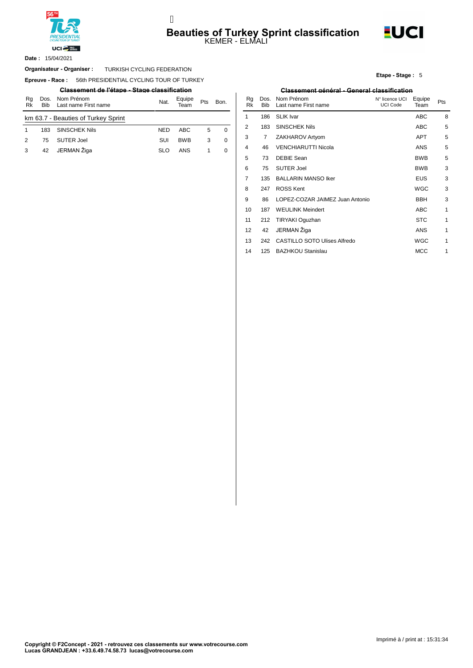

# **Beauties of Turkey Sprint classification**<br>KEMER - ELMALI j



15/04/2021 **Date :**

### Organisateur - Organiser : TURKISH CYCLING FEDERATION

**Epreuve - Race : 56th PRESIDENTIAL CYCLING TOUR OF TURKEY** 

|          |                                                    |                                     |            |                |     |          |          |     | ----------                         |
|----------|----------------------------------------------------|-------------------------------------|------------|----------------|-----|----------|----------|-----|------------------------------------|
| Rq<br>Rk | Nom Prénom<br>Dos.<br>Last name First name<br>Bib. |                                     | Nat.       | Equipe<br>Team | Pts | Bon.     | Ra<br>Rk | Bib | Dos. Nom Prénom<br>Last name First |
|          |                                                    | km 63.7 - Beauties of Turkey Sprint |            |                |     |          |          | 186 | SLIK Ivar                          |
|          | 183                                                | <b>SINSCHEK Nils</b>                | <b>NED</b> | ABC            | 5   | 0        |          | 183 | <b>SINSCHEK Nils</b>               |
| 2        | 75                                                 | SUTER Joel                          | SUI        | <b>BWB</b>     | 3   | 0        |          |     | <b>ZAKHAROV Art</b>                |
|          | 42                                                 | JERMAN Žiga                         | <b>SLO</b> | ANS            |     | $\Omega$ | 4        | 46  | <b>VENCHIARUTT</b>                 |

### **Etape - Stage :** 5

### **Classement de l'étape - Stage classification Classement général - General classification**

| Nat.       | Equipe<br>Team | Pts | Bon.        | Rq<br>Rk | Dos.<br><b>Bib</b> | Nom Prénom<br>Last name First name  | N° licence UCI<br><b>UCI Code</b> | Equipe<br>Team | Pts |
|------------|----------------|-----|-------------|----------|--------------------|-------------------------------------|-----------------------------------|----------------|-----|
|            |                |     |             | 1        | 186                | <b>SLIK Ivar</b>                    |                                   | ABC            | 8   |
| NED        | <b>ABC</b>     | 5   | 0           | 2        | 183                | <b>SINSCHEK Nils</b>                |                                   | <b>ABC</b>     | 5   |
| SUI        | <b>BWB</b>     | 3   | $\mathbf 0$ | 3        | 7                  | ZAKHAROV Artyom                     |                                   | <b>APT</b>     | 5   |
| <b>SLO</b> | <b>ANS</b>     | 1   | 0           | 4        | 46                 | <b>VENCHIARUTTI Nicola</b>          |                                   | ANS            | 5   |
|            |                |     |             | 5        | 73                 | <b>DEBIE Sean</b>                   |                                   | <b>BWB</b>     | 5   |
|            |                |     |             | 6        | 75                 | <b>SUTER Joel</b>                   |                                   | <b>BWB</b>     | 3   |
|            |                |     |             | 7        | 135                | <b>BALLARIN MANSO Iker</b>          |                                   | EUS            | 3   |
|            |                |     |             | 8        | 247                | <b>ROSS Kent</b>                    |                                   | <b>WGC</b>     | 3   |
|            |                |     |             | 9        | 86                 | LOPEZ-COZAR JAIMEZ Juan Antonio     |                                   | <b>BBH</b>     | 3   |
|            |                |     |             | 10       | 187                | <b>WEULINK Meindert</b>             |                                   | ABC            | 1   |
|            |                |     |             | 11       | 212                | TIRYAKI Oguzhan                     |                                   | <b>STC</b>     | 1   |
|            |                |     |             | 12       | 42                 | JERMAN Žiga                         |                                   | <b>ANS</b>     | 1   |
|            |                |     |             | 13       | 242                | <b>CASTILLO SOTO Ulises Alfredo</b> |                                   | <b>WGC</b>     | 1   |
|            |                |     |             | 14       | 125                | <b>BAZHKOU Stanislau</b>            |                                   | <b>MCC</b>     | 1   |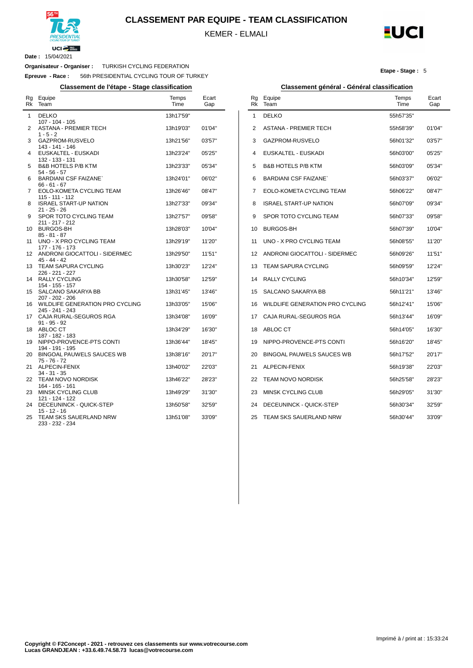

**CLASSEMENT PAR EQUIPE - TEAM CLASSIFICATION**

KEMER - ELMALI



**Etape - Stage :** 5

**Date :** 15/04/2021

 $\overline{a}$ 

### **Organisateur - Organiser :** TURKISH CYCLING FEDERATION

**Epreuve - Race :** 56th PRESIDENTIAL CYCLING TOUR OF TURKEY

**Classement de l'étape - Stage classification Classement général - Général classification**

| Rg<br>Rk     | Equipe<br>Team                                                 | Temps<br>Time          | Ecart<br>Gap     |
|--------------|----------------------------------------------------------------|------------------------|------------------|
| $\mathbf{1}$ | <b>DELKO</b><br>107 - 104 - 105                                | 13h17'59"              |                  |
| 2            | <b>ASTANA - PREMIER TECH</b><br>$1 - 5 - 2$                    | 13h19'03"              | 01'04"           |
| 3            | GAZPROM-RUSVELO<br>143 - 141 - 146                             | 13h21'56"              | 03'57"           |
| 4            | EUSKALTEL - EUSKADI<br>132 - 133 - 131                         | 13h23'24"              | 05'25"           |
| 5            | <b>B&amp;B HOTELS P/B KTM</b><br>$54 - 56 - 57$                | 13h23'33"              | 05'34"           |
| 6            | <b>BARDIANI CSF FAIZANE</b><br>$66 - 61 - 67$                  | 13h24'01"              | 06'02"           |
| 7            | EOLO-KOMETA CYCLING TEAM<br>115 - 111 - 112                    | 13h26'46"              | 08'47"           |
| 8            | <b>ISRAEL START-UP NATION</b><br>$21 - 25 - 26$                | 13h27'33"              | 09'34"           |
| 9            | SPOR TOTO CYCLING TEAM<br>211 - 217 - 212                      | 13h27'57"              | 09'58"           |
| 10<br>11     | <b>BURGOS-BH</b><br>$85 - 81 - 87$<br>UNO - X PRO CYCLING TEAM | 13h28'03"<br>13h29'19" | 10'04"<br>11'20" |
| 12           | 177 - 176 - 173<br>ANDRONI GIOCATTOLI - SIDERMEC               | 13h29'50"              | 11'51"           |
| 13           | 45 - 44 - 42<br><b>TEAM SAPURA CYCLING</b>                     | 13h30'23"              | 12'24"           |
| 14           | 226 - 221 - 227<br>RALLY CYCLING                               | 13h30'58"              | 12'59"           |
| 15           | 154 - 155 - 157<br><b>SALCANO SAKARYA BB</b>                   | 13h31'45"              | 13'46"           |
| 16           | 207 - 202 - 206<br>WILDLIFE GENERATION PRO CYCLING             | 13h33'05"              | 15'06"           |
| 17           | 245 - 241 - 243<br>CAJA RURAL-SEGUROS RGA<br>$91 - 95 - 92$    | 13h34'08"              | 16'09"           |
| 18           | ABLOC CT<br>187 - 182 - 183                                    | 13h34'29"              | 16'30"           |
| 19           | NIPPO-PROVENCE-PTS CONTI<br>194 - 191 - 195                    | 13h36'44"              | 18'45"           |
| 20           | <b>BINGOAL PAUWELS SAUCES WB</b><br>75 - 76 - 72               | 13h38'16"              | 20'17"           |
| 21           | ALPECIN-FENIX<br>$34 - 31 - 35$                                | 13h40'02"              | 22'03"           |
| 22           | TEAM NOVO NORDISK<br>164 - 165 - 161                           | 13h46'22"              | 28'23"           |
| 23           | MINSK CYCLING CLUB<br>121 - 124 - 122                          | 13h49'29"              | 31'30"           |
| 24           | DECEUNINCK - QUICK-STEP<br>15 - 12 - 16                        | 13h50'58"              | 32'59"           |
| 25           | <b>TEAM SKS SAUERLAND NRW</b><br>233 - 232 - 234               | 13h51'08"              | 33'09"           |

| Rg<br><b>Rk</b> | Equipe<br>Team                   | Temps<br>Time | Ecart<br>Gap |
|-----------------|----------------------------------|---------------|--------------|
| 1               | <b>DELKO</b>                     | 55h57'35"     |              |
| 2               | <b>ASTANA - PREMIER TECH</b>     | 55h58'39"     | 01'04"       |
| 3               | GAZPROM-RUSVELO                  | 56h01'32"     | 03'57"       |
| 4               | EUSKALTEL - EUSKADI              | 56h03'00"     | 05'25"       |
| 5               | <b>B&amp;B HOTELS P/B KTM</b>    | 56h03'09"     | 05'34"       |
| 6               | <b>BARDIANI CSF FAIZANE'</b>     | 56h03'37"     | 06'02"       |
| 7               | EOLO-KOMETA CYCLING TEAM         | 56h06'22"     | 08'47"       |
| 8               | <b>ISRAEL START-UP NATION</b>    | 56h07'09"     | 09'34"       |
| 9               | SPOR TOTO CYCLING TEAM           | 56h07'33"     | 09'58"       |
| 10              | <b>BURGOS-BH</b>                 | 56h07'39"     | 10'04"       |
| 11              | UNO - X PRO CYCLING TEAM         | 56h08'55"     | 11'20"       |
| 12              | ANDRONI GIOCATTOLI - SIDERMEC    | 56h09'26"     | 11'51"       |
| 13              | <b>TEAM SAPURA CYCLING</b>       | 56h09'59"     | 12'24"       |
| 14              | <b>RALLY CYCLING</b>             | 56h10'34"     | 12'59"       |
| 15              | SALCANO SAKARYA BB               | 56h11'21"     | 13'46"       |
| 16              | WILDLIFE GENERATION PRO CYCLING  | 56h12'41"     | 15'06"       |
| 17              | CAJA RURAL-SEGUROS RGA           | 56h13'44"     | 16'09"       |
| 18              | ABLOC CT                         | 56h14'05"     | 16'30"       |
| 19              | NIPPO-PROVENCE-PTS CONTI         | 56h16'20"     | 18'45"       |
| 20              | <b>BINGOAL PAUWELS SAUCES WB</b> | 56h17'52"     | 20'17"       |
| 21              | <b>ALPECIN-FENIX</b>             | 56h19'38"     | 22'03"       |
| 22              | TEAM NOVO NORDISK                | 56h25'58"     | 28'23"       |
| 23              | MINSK CYCLING CLUB               | 56h29'05"     | 31'30"       |
| 24              | DECEUNINCK - QUICK-STEP          | 56h30'34"     | 32'59"       |
| 25              | TEAM SKS SAUERLAND NRW           | 56h30'44"     | 33'09"       |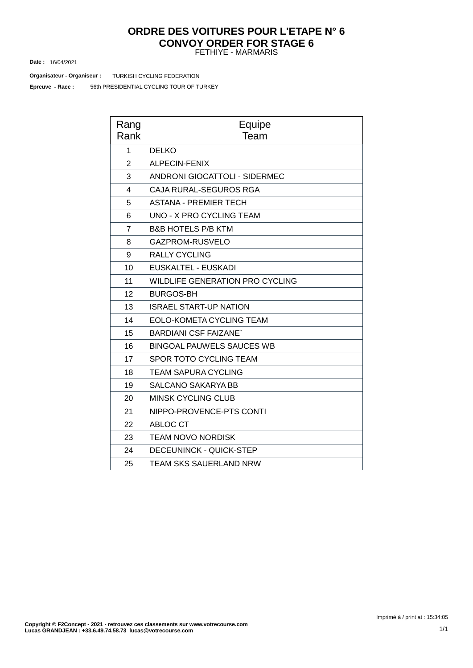### FETHIYE - MARMARIS **ORDRE DES VOITURES POUR L'ETAPE N° 6 CONVOY ORDER FOR STAGE 6**

16/04/2021 **Date :**

**Organisateur - Organiseur : TURKISH CYCLING FEDERATION** 

56th PRESIDENTIAL CYCLING TOUR OF TURKEY **Epreuve - Race :**

| Rang<br>Rank   | Equipe<br>Team                         |
|----------------|----------------------------------------|
| 1              | <b>DELKO</b>                           |
| $\overline{2}$ | <b>ALPECIN-FENIX</b>                   |
| 3              | <b>ANDRONI GIOCATTOLI - SIDERMEC</b>   |
| 4              | CAJA RURAL-SEGUROS RGA                 |
| 5              | <b>ASTANA - PREMIER TECH</b>           |
| 6              | UNO - X PRO CYCLING TEAM               |
| $\overline{7}$ | <b>B&amp;B HOTELS P/B KTM</b>          |
| 8              | GAZPROM-RUSVELO                        |
| 9              | <b>RALLY CYCLING</b>                   |
| 10             | EUSKALTEL - EUSKADI                    |
| 11             | <b>WILDLIFE GENERATION PRO CYCLING</b> |
| 12             | <b>BURGOS-BH</b>                       |
| 13             | <b>ISRAEL START-UP NATION</b>          |
| 14             | EOLO-KOMETA CYCLING TEAM               |
| 15             | <b>BARDIANI CSF FAIZANE</b>            |
| 16             | <b>BINGOAL PAUWELS SAUCES WB</b>       |
| 17             | SPOR TOTO CYCLING TEAM                 |
| 18             | TEAM SAPURA CYCLING                    |
| 19             | <b>SALCANO SAKARYA BB</b>              |
| 20             | <b>MINSK CYCLING CLUB</b>              |
| 21             | NIPPO-PROVENCE-PTS CONTI               |
| 22             | <b>ABLOC CT</b>                        |
| 23             | <b>TEAM NOVO NORDISK</b>               |
| 24             | <b>DECEUNINCK - QUICK-STEP</b>         |
| 25             | TEAM SKS SAUERLAND NRW                 |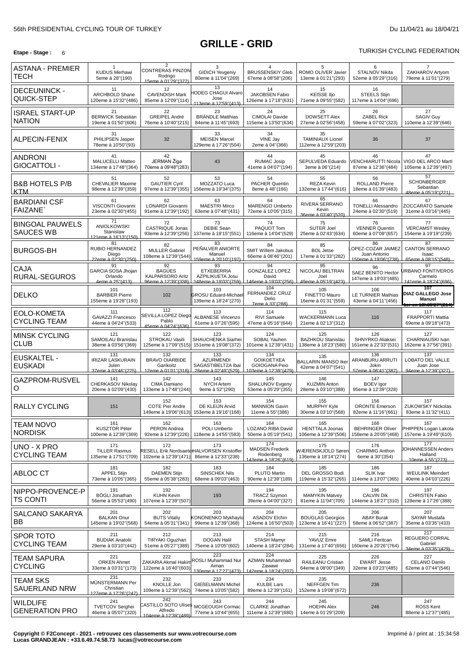# **GRILLE - GRID**

### **Etape** - Stage: 6 6

| ASTANA - PREMIER                         | 1                                                               | $\overline{2}$                                                        | 3                                                                         | 4                                                                        | 5                                                        | 6                                                               | $\overline{7}$                                                                          |
|------------------------------------------|-----------------------------------------------------------------|-----------------------------------------------------------------------|---------------------------------------------------------------------------|--------------------------------------------------------------------------|----------------------------------------------------------|-----------------------------------------------------------------|-----------------------------------------------------------------------------------------|
| <b>TECH</b>                              | <b>KUDUS Merhawi</b><br>5eme à 28"(190)                         | CONTRERAS PINZON<br>Rodrigo<br>15eme à 01'29"(372)                    | <b>GIDICH Yevgeniy</b><br>80eme à 11'04"(269)                             | <b>BRUSSENSKIY Gleb</b><br>67eme à 08'58" (206)                          | ROMO OLIVER Javier<br>13eme à 01'21"(293)                | <b>STALNOV Nikita</b><br>52eme à 05'29"(316)                    | ZAKHAROV Artyom<br>79eme à 11'01"(279)                                                  |
| <b>DECEUNINCK -</b><br>QUICK-STEP        | 11<br>ARCHBOLD Shane<br>120eme à 15'32"(486)                    | 12<br><b>CAVENDISH Mark</b><br>85eme à 12'09"(114)                    | 13<br><b>IODEG CHAGUI Alvaro</b><br>Jose<br>113eme à 12'59"(413)          | 14<br><b>JAKOBSEN Fabio</b><br>126eme à 17'18"(631)                      | 15<br><b>KEISSE IIjo</b><br>71eme à 09'55"(582)          | 16<br><b>STEELS Stijn</b><br>117eme à 14'04"(696)               |                                                                                         |
| <b>ISRAEL START-UP</b><br><b>NATION</b>  | 21<br><b>BERWICK Sebastian</b><br>19eme à 01'50"(606)           | 22<br>GREIPEL André<br>76eme à 10'40"(215)                            | 23<br><b>BRÄNDLE Matthias</b><br>84eme à 11'45"(693)                      | 24<br>CIMOLAI Davide<br>115eme à 13'50"(634)                             | 25<br>DOWSETT Alex<br>27eme à 02'56"(458)                | 26<br><b>ZABEL Rick</b><br>59eme à 07'02"(323)                  | 27<br>SAGIV Guy<br>110eme à 12'39"(646)                                                 |
| ALPECIN-FENIX                            | 31<br>PHILIPSEN Jasper<br>78eme à 10'50"(93)                    | 32                                                                    | 33<br><b>MEISEN Marcel</b><br>129eme à 17'26"(504)                        | 34<br>VINE Jay<br>2eme à 04"(366)                                        | 35<br><b>TAMINIAUX Lionel</b><br>112eme à 12'59" (203)   | 36                                                              | 37                                                                                      |
| <b>ANDRONI</b><br>GIOCATTOLI -           | 41<br><b>MALUCELLI Matteo</b><br>134eme à 17'48"(364)           | 42<br>JERMAN Žiga<br>70eme à 09'48"(283)                              | 43                                                                        | 44<br><b>RUMAC Josip</b><br>41eme à 04'07"(194)                          | 45<br>SEPULVEDA Eduardo<br>3eme à 06"(214)               | 46<br>VENCHIARUTTI Nicola<br>87eme à 12'36"(484)                | 47<br>VIGO DEL ARCO Marti<br>105eme à 12'39"(497)                                       |
| <b>B&amp;B HOTELS P/B</b><br>KTM         | 51<br><b>CHEVALIER Maxime</b><br>98eme à 12'39"(359)            | 52<br><b>GAUTIER Cyril</b><br>97eme à 12'39"(355)                     | 53<br>MOZZATO Luca<br>156eme à 19'34"(375)                                | 54<br><b>PACHER Quentin</b><br>8eme à 48"(166)                           | 55<br><b>REZA Kevin</b><br>132eme à 17'44"(616)          | 56<br><b>ROLLAND Pierre</b><br>18eme à 01'39"(483)              | 57<br><b>SCHONBERGER</b><br>Sebastian<br>48eme à 05'19"(221)                            |
| <b>BARDIANI CSF</b><br><b>FAIZANE</b>    | 61<br>VISCONTI Giovanni<br>23eme à 02'30"(455)                  | 62<br>LONARDI Giovanni<br>91eme à 12'39"(192)                         | 63<br><b>MAESTRI Mirco</b><br>63eme à 07'48"(431)                         | 64<br>MARENGO Umberto<br>72eme à 10'05"(315)                             | 65<br>RIVERA SERRANO<br>Kevin<br>36eme à 03'40"(520)     | 66<br><b>TONELLI Alessandro</b><br>24eme à 02'30"(519)          | 67<br>ZOCCARATO Samuele<br>31eme à 03'16"(445)                                          |
| <b>BINGOAL PAUWELS</b><br>SAUCES WB      | 71<br><b>ANIOLKOWSKI</b><br>Stanislaw<br>121eme à 16'13"(150)   | 72<br>CASTRIQUE Jonas<br>93eme à 12'39"(256)                          | 73<br><b>DEBIE Sean</b><br>137eme à 18'15"(551)                           | 74<br>PAQUOT Tom<br>116eme à 14'04"(529)                                 | 75<br>SUTER Joel<br>25eme à 02'43"(634)                  | 76<br><b>VENNER Quentin</b><br>60eme à 07'09"(657)              | 77<br><b>VERCAMST Wesley</b><br>154eme à 19'19"(239)                                    |
| <b>BURGOS-BH</b>                         | 81<br>RUBIO HERNANDEZ<br>Diego<br>22eme à 02'30" (250)          | 82<br><b>MULLER Gabriel</b><br>108eme à 12'39"(544)                   | 83<br>PEÑALVER ANIORTE<br>Manuel<br>159eme à 20'10"(197)                  | 84<br>SMIT Willem Jakobus<br>66eme à 08'46" (201)                        | 85<br><b>BOL Jetse</b><br>17eme à 01'33"(282)            | 86<br>OPEZ-COZAR JAIMEZ<br>Juan Antonio<br>150eme à 19'06"(738) | 87<br><b>CANTON SERRANO</b><br>Isaac<br>65eme à 08'15"(548)                             |
| <b>CAJA</b><br>RURAL-SEGUROS             | 91<br>GARCIA SOSA Jhojan<br>Orlando<br>4eme à 25"(413)          | 92<br><b>BAGÜES</b><br><b>KALPARSORO Aritz</b><br>96eme à 12'39"(338) | 93<br><b>ETXEBERRIA</b><br>AZPILIKUETA Josu<br>148eme à 19'03"(759)       | 94<br><b>GONZALEZ LOPEZ</b><br>David<br>146eme à 19'03"(256)             | 95<br>NICOLAU BELTRAN<br>Joel<br>49eme à 05'19"(423)     | 96<br>SAEZ BENITO Hector<br>147eme à 19'03"(485)                | 97<br><b>JRBANO FONTIVEROS</b><br>Carmelo<br>141eme à 18'24"(696)                       |
| <b>DELKO</b>                             | 101<br><b>BARBIER Pierre</b><br>155eme à 19'28"(193)            | 102                                                                   | 103<br><b>GROSU Eduard-Michae</b><br>139eme à 18'24"(270)                 | 104<br><b>FERNANDEZ CRUZ</b><br>Delio<br>7eme à 33" (288)                | 105<br><b>FINETTO Mauro</b><br>16eme à 01'31"(559)       | 106<br><b>LE TURNIER Mathias</b><br>43eme à 04'11"(456)         | 107<br><b>DIAZ GALLEGO Jose</b><br><b>Manuel</b><br>ler en 18h38'27''(214) <sup> </sup> |
| EOLO-KOMETA<br><b>CYCLING TEAM</b>       | 111<br><b>GAVAZZI Francesco</b><br>44eme à 04'24"(533)          | 112<br>SEVILLA LOPEZ Diego<br>Pablo<br>45eme à 04'24"(636)            | 113<br><b>ALBANESE Vincenzo</b><br>61eme à 07'26"(595)                    | 114<br>RIVI Samuele<br>47eme à 05'16"(644)                               | 115<br><b>WACKERMANN Luca</b><br>21eme à 02'13"(312)     | 116                                                             | 117<br><b>FRAPPORTI Mattia</b><br>69eme à 09'18"(473)                                   |
| <b>MINSK CYCLING</b><br><b>CLUB</b>      | 121<br>SAMOILAU Branislau<br>38eme à 03'56" (369)               | 122<br>STROKAU Vasili<br>125eme à 17'09"(515)                         | 123<br>SHAUCHENKA Siarhei<br>151eme à 19'08"(372)                         | 124<br><b>SOBAL Yauhen</b><br>101eme à 12'39"(431)                       | 125<br><b>BAZHKOU Stanislau</b><br>138eme à 18'23"(580)  | 126<br>SHNYRKO Aliaksei<br>161eme à 22'33"(531)                 | 127<br>CHARNIAUSKI Ivan<br>162eme à 37'56"(391)                                         |
| EUSKALTEL -<br><b>EUSKADI</b>            | 131<br><b>IRIZAR LASKURAIN</b><br>Julen<br>37eme à 03'46" (225) | 132<br><b>BRAVO OIARBIDE</b><br>Garikoitz<br>12eme à 01'01''(318)     | 133<br><b>AZURMENDI</b><br>SAGASTIBELTZA Ibai<br>26eme à 02'49"(529)      | 134<br><b>GOIKOETXEA</b><br><b>GOIOGANA Peio</b><br>103eme à 12'39"(479) | 135<br><b>BALLARIN MANSO Iker</b><br>42eme à 04'07"(541) | 136<br>ARANBURU ARRUTI<br>Jokin<br>57eme à 06'41"(387)          | 137<br>LOBATO DEL VALLE<br>Juan Jose<br>94eme à 12'39"(327)                             |
| GAZPROM-RUSVEL<br>O                      | 141<br>CHERKASOV Nikolav<br>20eme à 02'09"(430)                 | 142<br>CIMA Damiano<br>133eme à 17'48"(244)                           | 143<br><b>NYCH Artem</b><br>9eme à 52"(290)                               | 145<br>SHALUNOV Evgeny<br>53eme à 05'29"(355)                            | 146<br><b>KUZMIN Anton</b><br>28eme à 03'10"(388)        | 147<br><b>BOEV</b> Igor<br>95eme à 12'39"(328)                  |                                                                                         |
| <b>RALLY CYCLING</b>                     | 151                                                             | 152<br><b>COTE Pier Andre</b><br>149eme à 19'06"(613)                 | 153<br>DE KLEIJN Arvid<br>153eme à 19'16"(168)                            | 154<br><b>MANNION Gavin</b><br>11eme à 55"(386)                          | 155<br><b>MURPHY Kyle</b><br>30eme à 03'10"(568)         | 156<br><b>ORONTE Emerson</b><br>82eme à 11'16"(661)             | 157<br><b>ZUKOWSKY Nickolas</b><br>83eme à 11'32"(411)                                  |
| TEAM NOVO<br><b>NORDISK</b>              | 161<br><b>KUSZTOR Péter</b><br>100eme à 12'39"(369)             | 162<br>PERON Andrea<br>92eme à 12'39"(226)                            | 163<br>POLI Umberto<br>118eme à 14'55"(583)                               | 164<br>LOZANO RIBA David<br>50eme à 05'19"(541)                          | 165<br><b>HENTTALA Joonas</b><br>106eme à 12'39"(506)    | 166<br><b>BEHRINGER Oliver</b><br>158eme à 20'05"(468)          | 167<br>PHIPPEN Logan Lakota<br>157eme à 19'49"(610)                                     |
| UNO - X PRO<br><b>CYCLING TEAM</b>       | 171<br><b>TILLER Rasmus</b><br>135eme à 17'51"(709)             | 172<br>102eme à 12'39"(471)                                           | 173<br>RESELL Erik NordsaeterHALVORSEN Kristoffer<br>86eme à 12'33" (238) | 174<br><b>MADSEN Frederik</b><br>Rodenberg<br>43eme à 18'26"(619)        | 175<br>WÆRENSKJOLD Søren<br>136eme à 18'14"(274)         | 176<br><b>CHARMIG Anthon</b><br>6eme à 30"(354)                 | 177<br>JOHANNESSEN Anders<br>Halland<br>10eme à 55"(273)                                |
| ABLOC CT                                 | 181<br><b>APPEL Stijn</b><br>73eme à 10'05"(365)                | 182<br><b>DAEMEN Stijn</b><br>55eme à 05'38"(283)                     | 183<br><b>SINSCHEK Nils</b><br>68eme à 09'03"(463)                        | 184<br>PLUTO Martin<br>90eme à 12'39"(189)                               | 185<br>DEL GROSSO Bodi<br>119eme à 15'32"(265)           | 186<br>SLIK Ivar<br>114eme à 13'07"(365)                        | 187<br><b>WEULINK Meindert</b><br>40eme à 04'03"(226)                                   |
| NIPPO-PROVENCE-P<br><b>TS CONTI</b>      | 191<br><b>BÖGLI Jonathan</b><br>56eme à 05'53"(490)             | 192<br><b>KUHN Kevin</b><br>107eme à 12'39"(507)                      | 193                                                                       | 194<br><b>TRACZ Szymon</b><br>39eme à 04'00"(327)                        | 195<br><b>MAMYKIN Matvey</b><br>81eme à 11'04"(705)      | 196<br><b>CALVIN Dik</b><br>144eme à 18'27"(310)                | 197<br>CHRISTEN Fabio<br>128eme à 17'26"(388)                                           |
| SALCANO SAKARYA<br>BB                    | 201<br><b>BALKAN Onur</b><br>145eme à 19'02"(568)               | 202<br><b>BUTS Vitaliy</b><br>54eme à 05'31"(341)                     | 203<br>KONONENKO Mykhaylo<br>99eme à 12'39"(368)                          | 204<br><b>ASADOV Elchin</b><br>124eme à 16'50"(503)                      | 205<br><b>BOUGLAS Georgios</b><br>123eme à 16'41"(227)   | 206<br><b>ABAY Burak</b><br>58eme à 06'52"(387)                 | 207<br>SAYAR Mustafa<br>35eme à 03'35"(433)                                             |
| <b>SPOR TOTO</b><br><b>CYCLING TEAM</b>  | 211<br><b>BUDIAK Anatolii</b><br>29eme à 03'10"(442)            | 212<br>TIRYAKI Oguzhan<br>51eme à 05'27"(389)                         | 213<br><b>DOGAN Halil</b><br>75eme à 10'05"(602)                          | 214<br><b>STASH Mamyr</b><br>140eme à 18'24"(284)                        | 215<br>YAVUZ Emre<br>131eme à 17'40"(656)                | 216<br><b>SAMLI Feritcan</b><br>160eme à 20'26" (764)           | 217<br>REGUERO CORRAL<br>Gabriel<br>34eme à 03'35"(429)                                 |
| TEAM SAPURA<br><b>CYCLING</b>            | 221<br><b>ORKEN Ahmet</b><br>33eme à 03'31"(173)                | 222<br>ZAKARIA Akmal Hakim<br>122eme à 16'40"(603)                    | 223<br>ROSLI Muhammad Nur<br>Aiman<br>130eme à 17'27"(473)                | 224<br>AZMAN Muhammad<br>Zawawi<br>142eme à 18'24"(707)                  | 225<br>RAILEANU Cristian<br>64eme à 08'00"(349)          | 226<br><b>EWART Jesse</b><br>32eme à 03'23"(485)                | 227<br>CELANO Danilo<br>62eme à 07'44"(546)                                             |
| <b>TEAM SKS</b><br>SAUERLAND NRW         | 231<br>MÜNSTERMANN Per<br>Christian<br>127eme à 17'26"(247)     | 232<br><b>KNOLLE Jon</b><br>109eme à 12'39"(562)                      | 233<br><b>GIEßELMANN Michel</b><br>74eme à 10'05"(582)                    | 234<br><b>KULBE Lars</b><br>89eme à 12'39"(161)                          | 235<br><b>NEFFGEN Tim</b><br>152eme à 19'08"(672)        | 236                                                             |                                                                                         |
| <b>WILDLIFE</b><br><b>GENERATION PRO</b> | 241<br><b>TVETCOV Serghei</b><br>46eme à 05'07"(320)            | 242<br>CASTILLO SOTO Ulise\$<br>Alfredo<br>104eme à 12'39"(489)       | 243<br>MCGEOUGH Cormac<br>77eme à 10'44"(655)                             | 244<br><b>CLARKE Jonathan</b><br>111eme à 12'39"(680)                    | 245<br><b>HOEHN Alex</b><br>14eme à 01'29"(209)          | 246                                                             | 247<br><b>ROSS Kent</b><br>88eme à 12'37"(485)                                          |

**Copyright © F2Concept - 2021 - retrouvez ces classements sur www.votrecourse.com Lucas GRANDJEAN : +33.6.49.74.58.73 lucas@votrecourse.com**